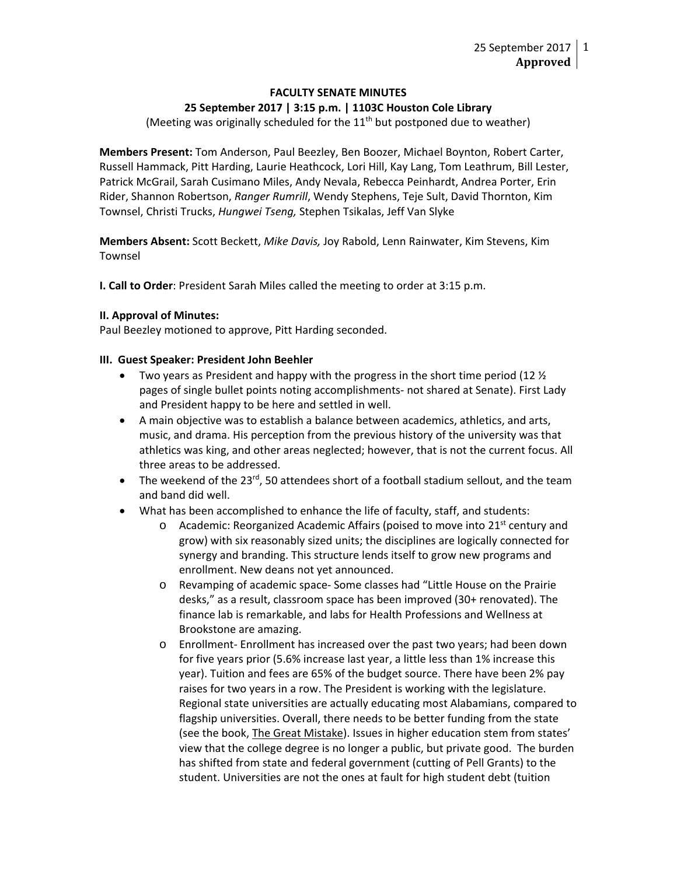### **FACULTY SENATE MINUTES 25 September 2017 | 3:15 p.m. | 1103C Houston Cole Library**

(Meeting was originally scheduled for the  $11<sup>th</sup>$  but postponed due to weather)

**Members Present:** Tom Anderson, Paul Beezley, Ben Boozer, Michael Boynton, Robert Carter, Russell Hammack, Pitt Harding, Laurie Heathcock, Lori Hill, Kay Lang, Tom Leathrum, Bill Lester, Patrick McGrail, Sarah Cusimano Miles, Andy Nevala, Rebecca Peinhardt, Andrea Porter, Erin Rider, Shannon Robertson, *Ranger Rumrill*, Wendy Stephens, Teje Sult, David Thornton, Kim Townsel, Christi Trucks, *Hungwei Tseng,* Stephen Tsikalas, Jeff Van Slyke

**Members Absent:** Scott Beckett, *Mike Davis,* Joy Rabold, Lenn Rainwater, Kim Stevens, Kim Townsel

**I. Call to Order**: President Sarah Miles called the meeting to order at 3:15 p.m.

### **II. Approval of Minutes:**

Paul Beezley motioned to approve, Pitt Harding seconded.

### **III. Guest Speaker: President John Beehler**

- Two years as President and happy with the progress in the short time period (12  $\frac{1}{2}$ ) pages of single bullet points noting accomplishments- not shared at Senate). First Lady and President happy to be here and settled in well.
- A main objective was to establish a balance between academics, athletics, and arts, music, and drama. His perception from the previous history of the university was that athletics was king, and other areas neglected; however, that is not the current focus. All three areas to be addressed.
- The weekend of the  $23^{rd}$ , 50 attendees short of a football stadium sellout, and the team and band did well.
- What has been accomplished to enhance the life of faculty, staff, and students:
	- $\circ$  Academic: Reorganized Academic Affairs (poised to move into 21<sup>st</sup> century and grow) with six reasonably sized units; the disciplines are logically connected for synergy and branding. This structure lends itself to grow new programs and enrollment. New deans not yet announced.
	- o Revamping of academic space- Some classes had "Little House on the Prairie desks," as a result, classroom space has been improved (30+ renovated). The finance lab is remarkable, and labs for Health Professions and Wellness at Brookstone are amazing.
	- o Enrollment- Enrollment has increased over the past two years; had been down for five years prior (5.6% increase last year, a little less than 1% increase this year). Tuition and fees are 65% of the budget source. There have been 2% pay raises for two years in a row. The President is working with the legislature. Regional state universities are actually educating most Alabamians, compared to flagship universities. Overall, there needs to be better funding from the state (see the book, The Great Mistake). Issues in higher education stem from states' view that the college degree is no longer a public, but private good. The burden has shifted from state and federal government (cutting of Pell Grants) to the student. Universities are not the ones at fault for high student debt (tuition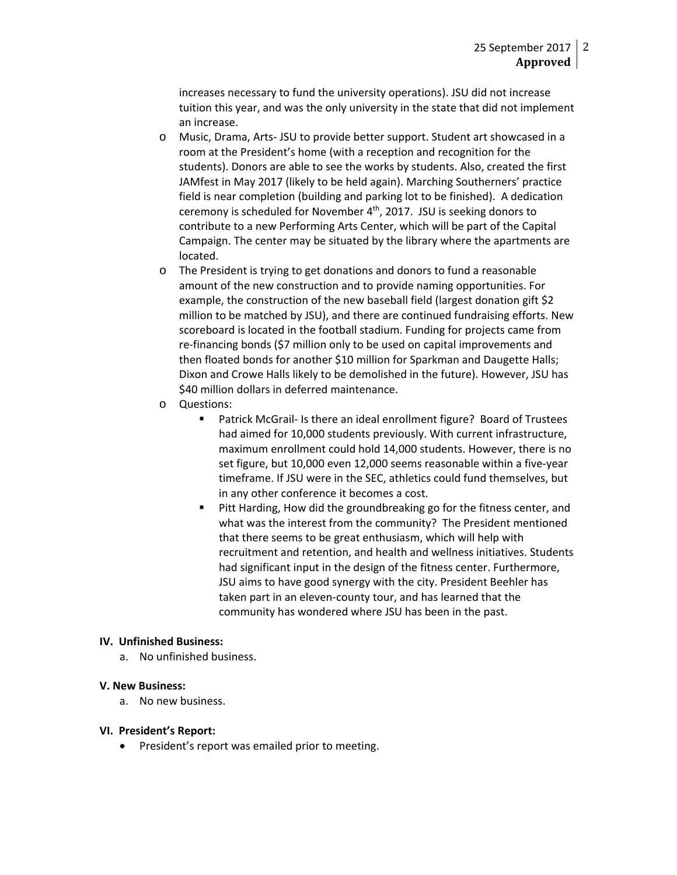increases necessary to fund the university operations). JSU did not increase tuition this year, and was the only university in the state that did not implement an increase.

- o Music, Drama, Arts- JSU to provide better support. Student art showcased in a room at the President's home (with a reception and recognition for the students). Donors are able to see the works by students. Also, created the first JAMfest in May 2017 (likely to be held again). Marching Southerners' practice field is near completion (building and parking lot to be finished). A dedication ceremony is scheduled for November 4<sup>th</sup>, 2017. JSU is seeking donors to contribute to a new Performing Arts Center, which will be part of the Capital Campaign. The center may be situated by the library where the apartments are located.
- o The President is trying to get donations and donors to fund a reasonable amount of the new construction and to provide naming opportunities. For example, the construction of the new baseball field (largest donation gift \$2 million to be matched by JSU), and there are continued fundraising efforts. New scoreboard is located in the football stadium. Funding for projects came from re-financing bonds (\$7 million only to be used on capital improvements and then floated bonds for another \$10 million for Sparkman and Daugette Halls; Dixon and Crowe Halls likely to be demolished in the future). However, JSU has \$40 million dollars in deferred maintenance.
- o Questions:
	- Patrick McGrail- Is there an ideal enrollment figure? Board of Trustees had aimed for 10,000 students previously. With current infrastructure, maximum enrollment could hold 14,000 students. However, there is no set figure, but 10,000 even 12,000 seems reasonable within a five-year timeframe. If JSU were in the SEC, athletics could fund themselves, but in any other conference it becomes a cost.
	- Pitt Harding, How did the groundbreaking go for the fitness center, and what was the interest from the community? The President mentioned that there seems to be great enthusiasm, which will help with recruitment and retention, and health and wellness initiatives. Students had significant input in the design of the fitness center. Furthermore, JSU aims to have good synergy with the city. President Beehler has taken part in an eleven-county tour, and has learned that the community has wondered where JSU has been in the past.

### **IV. Unfinished Business:**

a. No unfinished business.

### **V. New Business:**

a. No new business.

### **VI. President's Report:**

• President's report was emailed prior to meeting.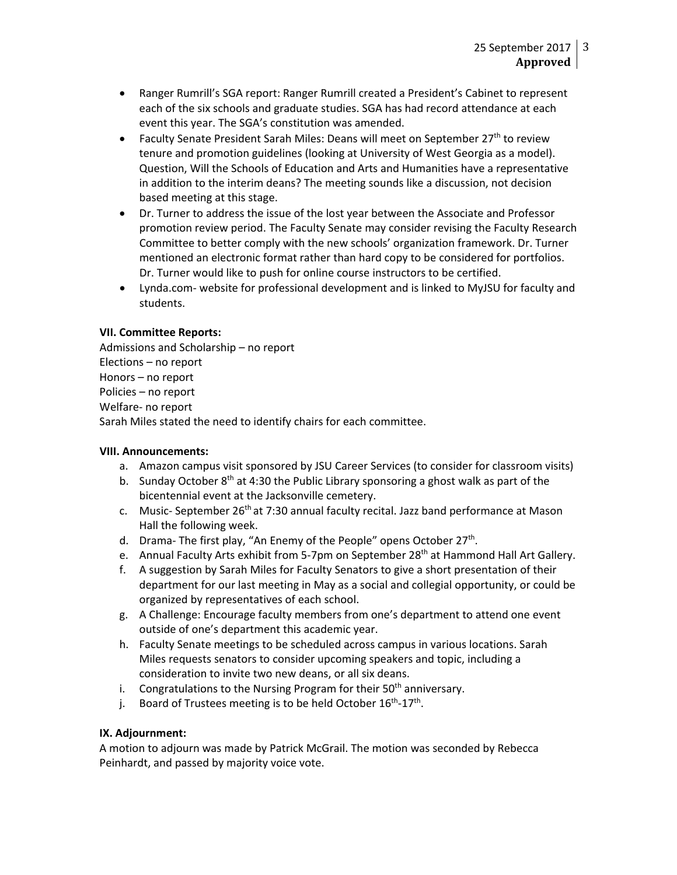- Ranger Rumrill's SGA report: Ranger Rumrill created a President's Cabinet to represent each of the six schools and graduate studies. SGA has had record attendance at each event this year. The SGA's constitution was amended.
- Faculty Senate President Sarah Miles: Deans will meet on September  $27<sup>th</sup>$  to review tenure and promotion guidelines (looking at University of West Georgia as a model). Question, Will the Schools of Education and Arts and Humanities have a representative in addition to the interim deans? The meeting sounds like a discussion, not decision based meeting at this stage.
- Dr. Turner to address the issue of the lost year between the Associate and Professor promotion review period. The Faculty Senate may consider revising the Faculty Research Committee to better comply with the new schools' organization framework. Dr. Turner mentioned an electronic format rather than hard copy to be considered for portfolios. Dr. Turner would like to push for online course instructors to be certified.
- Lynda.com- website for professional development and is linked to MyJSU for faculty and students.

# **VII. Committee Reports:**

Admissions and Scholarship – no report Elections – no report Honors – no report Policies – no report Welfare- no report Sarah Miles stated the need to identify chairs for each committee.

# **VIII. Announcements:**

- a. Amazon campus visit sponsored by JSU Career Services (to consider for classroom visits)
- b. Sunday October  $8<sup>th</sup>$  at 4:30 the Public Library sponsoring a ghost walk as part of the bicentennial event at the Jacksonville cemetery.
- c. Music- September 26<sup>th</sup> at 7:30 annual faculty recital. Jazz band performance at Mason Hall the following week.
- d. Drama- The first play, "An Enemy of the People" opens October  $27<sup>th</sup>$ .
- e. Annual Faculty Arts exhibit from 5-7pm on September 28<sup>th</sup> at Hammond Hall Art Gallery.
- f. A suggestion by Sarah Miles for Faculty Senators to give a short presentation of their department for our last meeting in May as a social and collegial opportunity, or could be organized by representatives of each school.
- g. A Challenge: Encourage faculty members from one's department to attend one event outside of one's department this academic year.
- h. Faculty Senate meetings to be scheduled across campus in various locations. Sarah Miles requests senators to consider upcoming speakers and topic, including a consideration to invite two new deans, or all six deans.
- i. Congratulations to the Nursing Program for their  $50<sup>th</sup>$  anniversary.
- j. Board of Trustees meeting is to be held October  $16^{th}$ - $17^{th}$ .

### **IX. Adjournment:**

A motion to adjourn was made by Patrick McGrail. The motion was seconded by Rebecca Peinhardt, and passed by majority voice vote.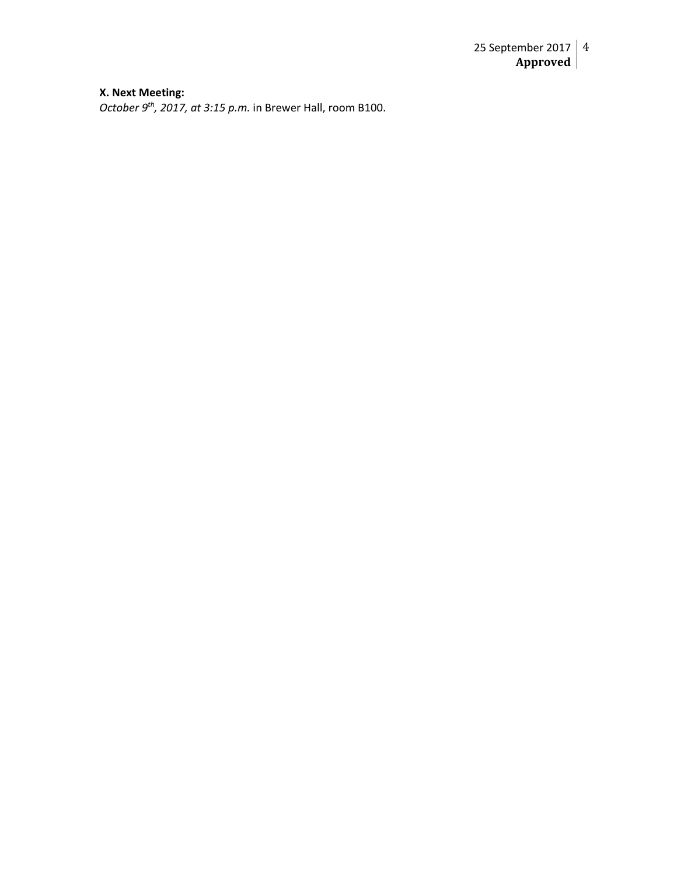#### **X. Next Meeting:**

*October 9th, 2017, at 3:15 p.m.* in Brewer Hall, room B100.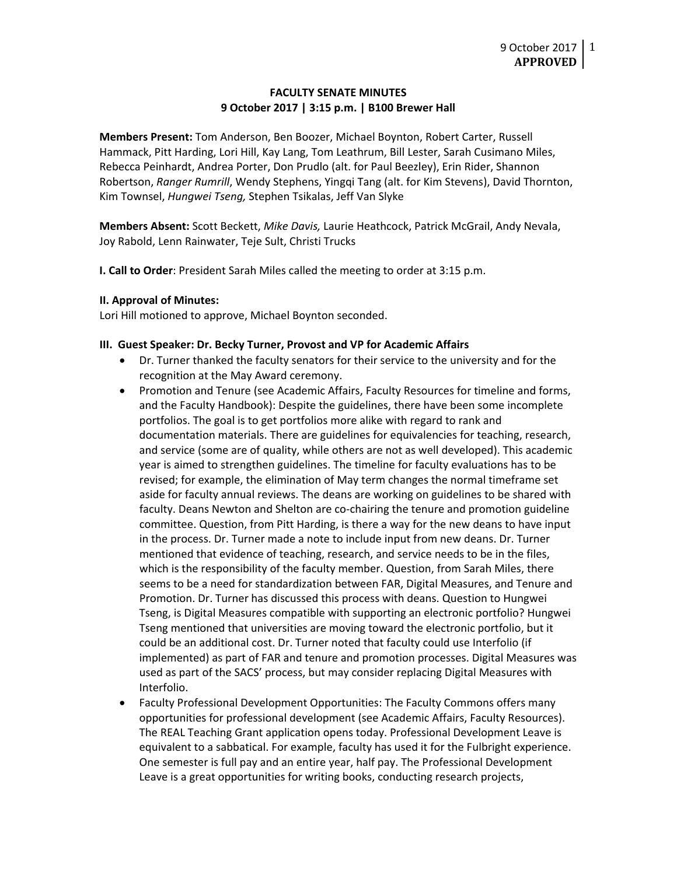### **FACULTY SENATE MINUTES 9 October 2017 | 3:15 p.m. | B100 Brewer Hall**

**Members Present:** Tom Anderson, Ben Boozer, Michael Boynton, Robert Carter, Russell Hammack, Pitt Harding, Lori Hill, Kay Lang, Tom Leathrum, Bill Lester, Sarah Cusimano Miles, Rebecca Peinhardt, Andrea Porter, Don Prudlo (alt. for Paul Beezley), Erin Rider, Shannon Robertson, *Ranger Rumrill*, Wendy Stephens, Yingqi Tang (alt. for Kim Stevens), David Thornton, Kim Townsel, *Hungwei Tseng,* Stephen Tsikalas, Jeff Van Slyke

**Members Absent:** Scott Beckett, *Mike Davis,* Laurie Heathcock, Patrick McGrail, Andy Nevala, Joy Rabold, Lenn Rainwater, Teje Sult, Christi Trucks

**I. Call to Order**: President Sarah Miles called the meeting to order at 3:15 p.m.

#### **II. Approval of Minutes:**

Lori Hill motioned to approve, Michael Boynton seconded.

#### **III. Guest Speaker: Dr. Becky Turner, Provost and VP for Academic Affairs**

- Dr. Turner thanked the faculty senators for their service to the university and for the recognition at the May Award ceremony.
- Promotion and Tenure (see Academic Affairs, Faculty Resources for timeline and forms, and the Faculty Handbook): Despite the guidelines, there have been some incomplete portfolios. The goal is to get portfolios more alike with regard to rank and documentation materials. There are guidelines for equivalencies for teaching, research, and service (some are of quality, while others are not as well developed). This academic year is aimed to strengthen guidelines. The timeline for faculty evaluations has to be revised; for example, the elimination of May term changes the normal timeframe set aside for faculty annual reviews. The deans are working on guidelines to be shared with faculty. Deans Newton and Shelton are co-chairing the tenure and promotion guideline committee. Question, from Pitt Harding, is there a way for the new deans to have input in the process. Dr. Turner made a note to include input from new deans. Dr. Turner mentioned that evidence of teaching, research, and service needs to be in the files, which is the responsibility of the faculty member. Question, from Sarah Miles, there seems to be a need for standardization between FAR, Digital Measures, and Tenure and Promotion. Dr. Turner has discussed this process with deans. Question to Hungwei Tseng, is Digital Measures compatible with supporting an electronic portfolio? Hungwei Tseng mentioned that universities are moving toward the electronic portfolio, but it could be an additional cost. Dr. Turner noted that faculty could use Interfolio (if implemented) as part of FAR and tenure and promotion processes. Digital Measures was used as part of the SACS' process, but may consider replacing Digital Measures with Interfolio.
- Faculty Professional Development Opportunities: The Faculty Commons offers many opportunities for professional development (see Academic Affairs, Faculty Resources). The REAL Teaching Grant application opens today. Professional Development Leave is equivalent to a sabbatical. For example, faculty has used it for the Fulbright experience. One semester is full pay and an entire year, half pay. The Professional Development Leave is a great opportunities for writing books, conducting research projects,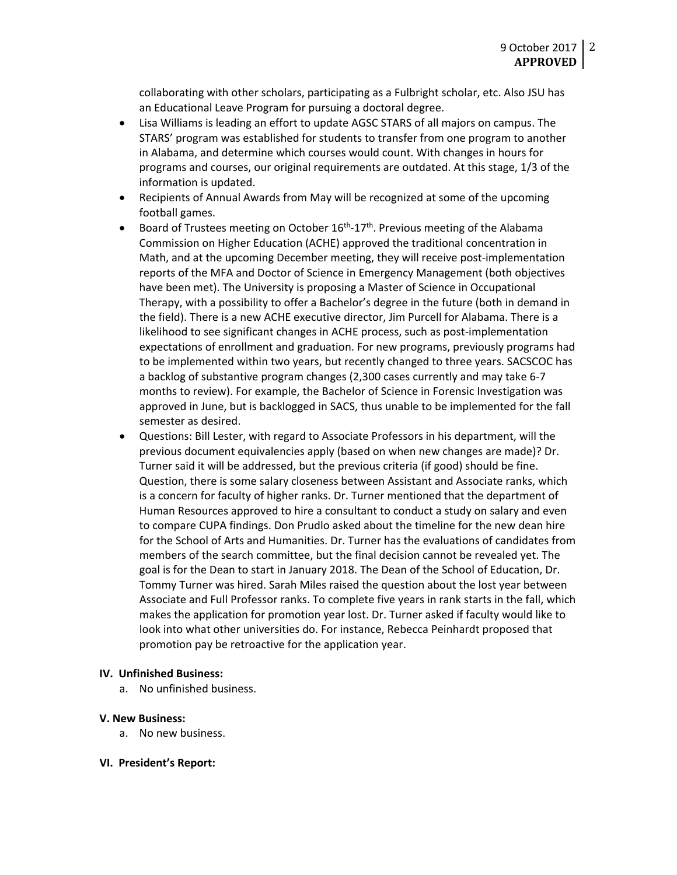collaborating with other scholars, participating as a Fulbright scholar, etc. Also JSU has an Educational Leave Program for pursuing a doctoral degree.

- Lisa Williams is leading an effort to update AGSC STARS of all majors on campus. The STARS' program was established for students to transfer from one program to another in Alabama, and determine which courses would count. With changes in hours for programs and courses, our original requirements are outdated. At this stage, 1/3 of the information is updated.
- Recipients of Annual Awards from May will be recognized at some of the upcoming football games.
- Board of Trustees meeting on October  $16<sup>th</sup> 17<sup>th</sup>$ . Previous meeting of the Alabama Commission on Higher Education (ACHE) approved the traditional concentration in Math, and at the upcoming December meeting, they will receive post-implementation reports of the MFA and Doctor of Science in Emergency Management (both objectives have been met). The University is proposing a Master of Science in Occupational Therapy, with a possibility to offer a Bachelor's degree in the future (both in demand in the field). There is a new ACHE executive director, Jim Purcell for Alabama. There is a likelihood to see significant changes in ACHE process, such as post-implementation expectations of enrollment and graduation. For new programs, previously programs had to be implemented within two years, but recently changed to three years. SACSCOC has a backlog of substantive program changes (2,300 cases currently and may take 6-7 months to review). For example, the Bachelor of Science in Forensic Investigation was approved in June, but is backlogged in SACS, thus unable to be implemented for the fall semester as desired.
- Questions: Bill Lester, with regard to Associate Professors in his department, will the previous document equivalencies apply (based on when new changes are made)? Dr. Turner said it will be addressed, but the previous criteria (if good) should be fine. Question, there is some salary closeness between Assistant and Associate ranks, which is a concern for faculty of higher ranks. Dr. Turner mentioned that the department of Human Resources approved to hire a consultant to conduct a study on salary and even to compare CUPA findings. Don Prudlo asked about the timeline for the new dean hire for the School of Arts and Humanities. Dr. Turner has the evaluations of candidates from members of the search committee, but the final decision cannot be revealed yet. The goal is for the Dean to start in January 2018. The Dean of the School of Education, Dr. Tommy Turner was hired. Sarah Miles raised the question about the lost year between Associate and Full Professor ranks. To complete five years in rank starts in the fall, which makes the application for promotion year lost. Dr. Turner asked if faculty would like to look into what other universities do. For instance, Rebecca Peinhardt proposed that promotion pay be retroactive for the application year.

#### **IV. Unfinished Business:**

a. No unfinished business.

#### **V. New Business:**

- a. No new business.
- **VI. President's Report:**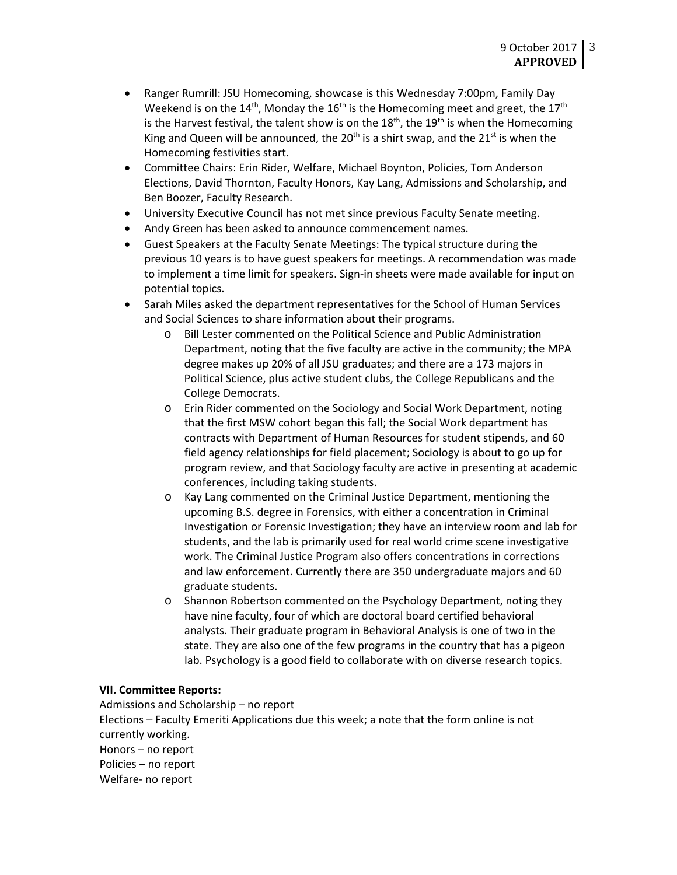- Ranger Rumrill: JSU Homecoming, showcase is this Wednesday 7:00pm, Family Day Weekend is on the 14<sup>th</sup>, Monday the 16<sup>th</sup> is the Homecoming meet and greet, the 17<sup>th</sup> is the Harvest festival, the talent show is on the  $18<sup>th</sup>$ , the  $19<sup>th</sup>$  is when the Homecoming King and Queen will be announced, the 20<sup>th</sup> is a shirt swap, and the 21<sup>st</sup> is when the Homecoming festivities start.
- Committee Chairs: Erin Rider, Welfare, Michael Boynton, Policies, Tom Anderson Elections, David Thornton, Faculty Honors, Kay Lang, Admissions and Scholarship, and Ben Boozer, Faculty Research.
- University Executive Council has not met since previous Faculty Senate meeting.
- Andy Green has been asked to announce commencement names.
- Guest Speakers at the Faculty Senate Meetings: The typical structure during the previous 10 years is to have guest speakers for meetings. A recommendation was made to implement a time limit for speakers. Sign-in sheets were made available for input on potential topics.
- Sarah Miles asked the department representatives for the School of Human Services and Social Sciences to share information about their programs.
	- o Bill Lester commented on the Political Science and Public Administration Department, noting that the five faculty are active in the community; the MPA degree makes up 20% of all JSU graduates; and there are a 173 majors in Political Science, plus active student clubs, the College Republicans and the College Democrats.
	- o Erin Rider commented on the Sociology and Social Work Department, noting that the first MSW cohort began this fall; the Social Work department has contracts with Department of Human Resources for student stipends, and 60 field agency relationships for field placement; Sociology is about to go up for program review, and that Sociology faculty are active in presenting at academic conferences, including taking students.
	- o Kay Lang commented on the Criminal Justice Department, mentioning the upcoming B.S. degree in Forensics, with either a concentration in Criminal Investigation or Forensic Investigation; they have an interview room and lab for students, and the lab is primarily used for real world crime scene investigative work. The Criminal Justice Program also offers concentrations in corrections and law enforcement. Currently there are 350 undergraduate majors and 60 graduate students.
	- o Shannon Robertson commented on the Psychology Department, noting they have nine faculty, four of which are doctoral board certified behavioral analysts. Their graduate program in Behavioral Analysis is one of two in the state. They are also one of the few programs in the country that has a pigeon lab. Psychology is a good field to collaborate with on diverse research topics.

### **VII. Committee Reports:**

Admissions and Scholarship – no report Elections – Faculty Emeriti Applications due this week; a note that the form online is not currently working. Honors – no report Policies – no report Welfare- no report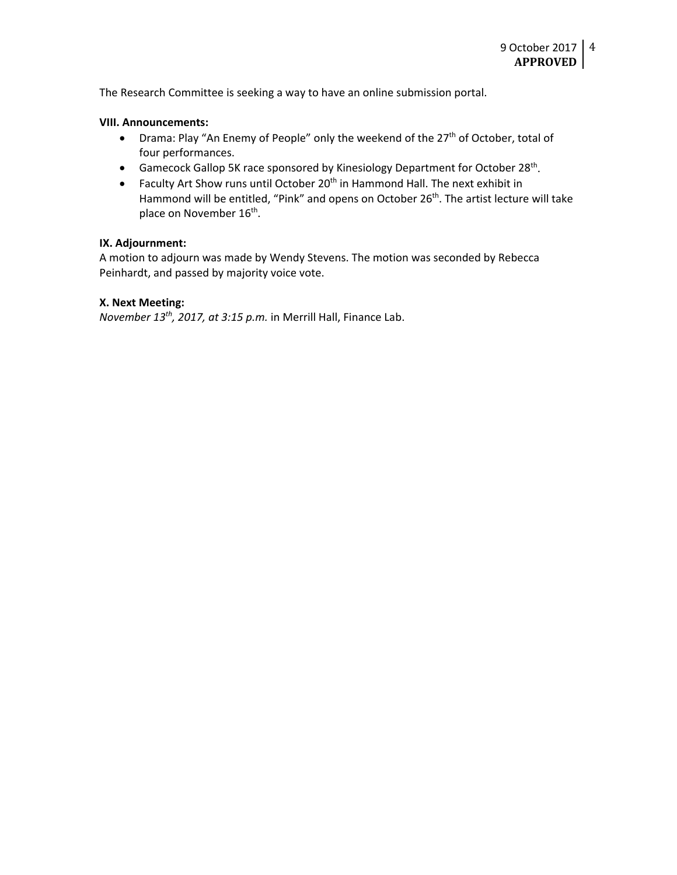The Research Committee is seeking a way to have an online submission portal.

#### **VIII. Announcements:**

- Drama: Play "An Enemy of People" only the weekend of the 27<sup>th</sup> of October, total of four performances.
- Gamecock Gallop 5K race sponsored by Kinesiology Department for October 28<sup>th</sup>.
- Faculty Art Show runs until October  $20<sup>th</sup>$  in Hammond Hall. The next exhibit in Hammond will be entitled, "Pink" and opens on October 26<sup>th</sup>. The artist lecture will take place on November 16<sup>th</sup>.

### **IX. Adjournment:**

A motion to adjourn was made by Wendy Stevens. The motion was seconded by Rebecca Peinhardt, and passed by majority voice vote.

#### **X. Next Meeting:**

*November 13th, 2017, at 3:15 p.m.* in Merrill Hall, Finance Lab.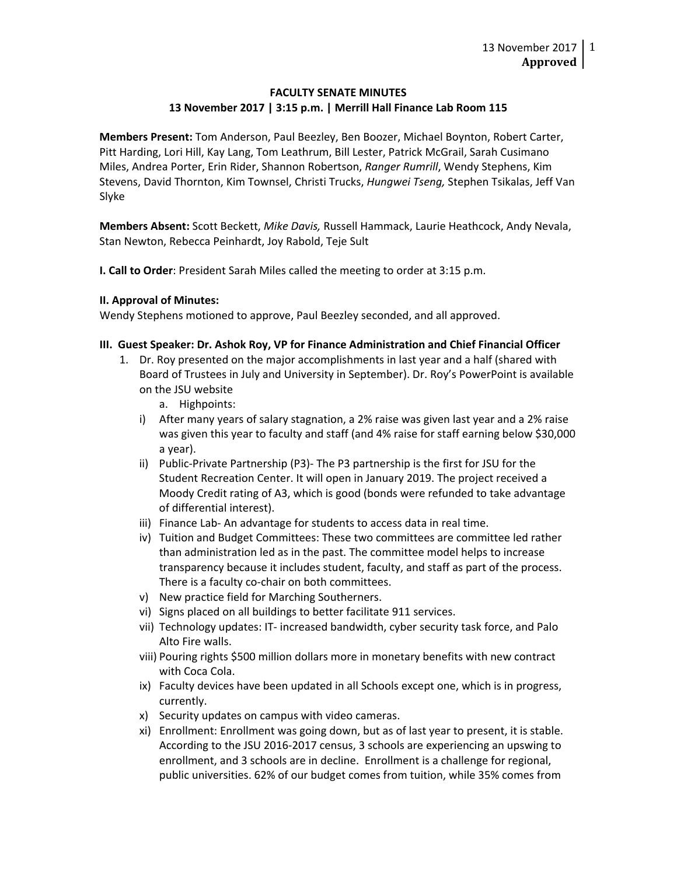## **FACULTY SENATE MINUTES 13 November 2017 | 3:15 p.m. | Merrill Hall Finance Lab Room 115**

**Members Present:** Tom Anderson, Paul Beezley, Ben Boozer, Michael Boynton, Robert Carter, Pitt Harding, Lori Hill, Kay Lang, Tom Leathrum, Bill Lester, Patrick McGrail, Sarah Cusimano Miles, Andrea Porter, Erin Rider, Shannon Robertson, *Ranger Rumrill*, Wendy Stephens, Kim Stevens, David Thornton, Kim Townsel, Christi Trucks, *Hungwei Tseng,* Stephen Tsikalas, Jeff Van Slyke

**Members Absent:** Scott Beckett, *Mike Davis,* Russell Hammack, Laurie Heathcock, Andy Nevala, Stan Newton, Rebecca Peinhardt, Joy Rabold, Teje Sult

**I. Call to Order**: President Sarah Miles called the meeting to order at 3:15 p.m.

### **II. Approval of Minutes:**

Wendy Stephens motioned to approve, Paul Beezley seconded, and all approved.

## **III. Guest Speaker: Dr. Ashok Roy, VP for Finance Administration and Chief Financial Officer**

- 1. Dr. Roy presented on the major accomplishments in last year and a half (shared with Board of Trustees in July and University in September). Dr. Roy's PowerPoint is available on the JSU website
	- a. Highpoints:
	- i) After many years of salary stagnation, a 2% raise was given last year and a 2% raise was given this year to faculty and staff (and 4% raise for staff earning below \$30,000 a year).
	- ii) Public-Private Partnership (P3)- The P3 partnership is the first for JSU for the Student Recreation Center. It will open in January 2019. The project received a Moody Credit rating of A3, which is good (bonds were refunded to take advantage of differential interest).
	- iii) Finance Lab- An advantage for students to access data in real time.
	- iv) Tuition and Budget Committees: These two committees are committee led rather than administration led as in the past. The committee model helps to increase transparency because it includes student, faculty, and staff as part of the process. There is a faculty co-chair on both committees.
	- v) New practice field for Marching Southerners.
	- vi) Signs placed on all buildings to better facilitate 911 services.
	- vii) Technology updates: IT- increased bandwidth, cyber security task force, and Palo Alto Fire walls.
	- viii) Pouring rights \$500 million dollars more in monetary benefits with new contract with Coca Cola.
	- ix) Faculty devices have been updated in all Schools except one, which is in progress, currently.
	- x) Security updates on campus with video cameras.
	- xi) Enrollment: Enrollment was going down, but as of last year to present, it is stable. According to the JSU 2016-2017 census, 3 schools are experiencing an upswing to enrollment, and 3 schools are in decline. Enrollment is a challenge for regional, public universities. 62% of our budget comes from tuition, while 35% comes from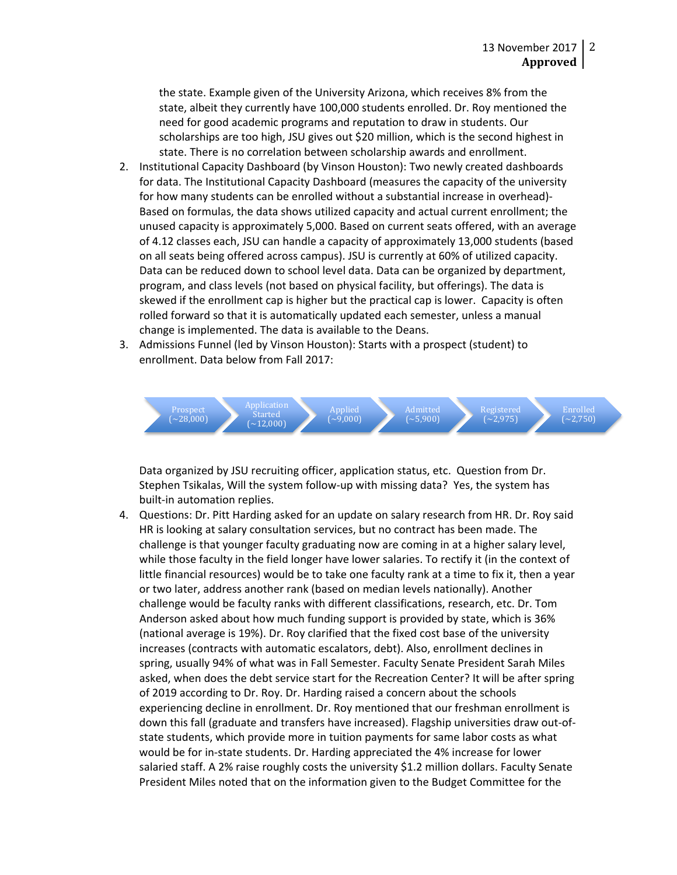the state. Example given of the University Arizona, which receives 8% from the state, albeit they currently have 100,000 students enrolled. Dr. Roy mentioned the need for good academic programs and reputation to draw in students. Our scholarships are too high, JSU gives out \$20 million, which is the second highest in state. There is no correlation between scholarship awards and enrollment.

- 2. Institutional Capacity Dashboard (by Vinson Houston): Two newly created dashboards for data. The Institutional Capacity Dashboard (measures the capacity of the university for how many students can be enrolled without a substantial increase in overhead)- Based on formulas, the data shows utilized capacity and actual current enrollment; the unused capacity is approximately 5,000. Based on current seats offered, with an average of 4.12 classes each, JSU can handle a capacity of approximately 13,000 students (based on all seats being offered across campus). JSU is currently at 60% of utilized capacity. Data can be reduced down to school level data. Data can be organized by department, program, and class levels (not based on physical facility, but offerings). The data is skewed if the enrollment cap is higher but the practical cap is lower. Capacity is often rolled forward so that it is automatically updated each semester, unless a manual change is implemented. The data is available to the Deans.
- 3. Admissions Funnel (led by Vinson Houston): Starts with a prospect (student) to enrollment. Data below from Fall 2017:



Data organized by JSU recruiting officer, application status, etc. Question from Dr. Stephen Tsikalas, Will the system follow-up with missing data? Yes, the system has built-in automation replies.

4. Questions: Dr. Pitt Harding asked for an update on salary research from HR. Dr. Roy said HR is looking at salary consultation services, but no contract has been made. The challenge is that younger faculty graduating now are coming in at a higher salary level, while those faculty in the field longer have lower salaries. To rectify it (in the context of little financial resources) would be to take one faculty rank at a time to fix it, then a year or two later, address another rank (based on median levels nationally). Another challenge would be faculty ranks with different classifications, research, etc. Dr. Tom Anderson asked about how much funding support is provided by state, which is 36% (national average is 19%). Dr. Roy clarified that the fixed cost base of the university increases (contracts with automatic escalators, debt). Also, enrollment declines in spring, usually 94% of what was in Fall Semester. Faculty Senate President Sarah Miles asked, when does the debt service start for the Recreation Center? It will be after spring of 2019 according to Dr. Roy. Dr. Harding raised a concern about the schools experiencing decline in enrollment. Dr. Roy mentioned that our freshman enrollment is down this fall (graduate and transfers have increased). Flagship universities draw out-ofstate students, which provide more in tuition payments for same labor costs as what would be for in-state students. Dr. Harding appreciated the 4% increase for lower salaried staff. A 2% raise roughly costs the university \$1.2 million dollars. Faculty Senate President Miles noted that on the information given to the Budget Committee for the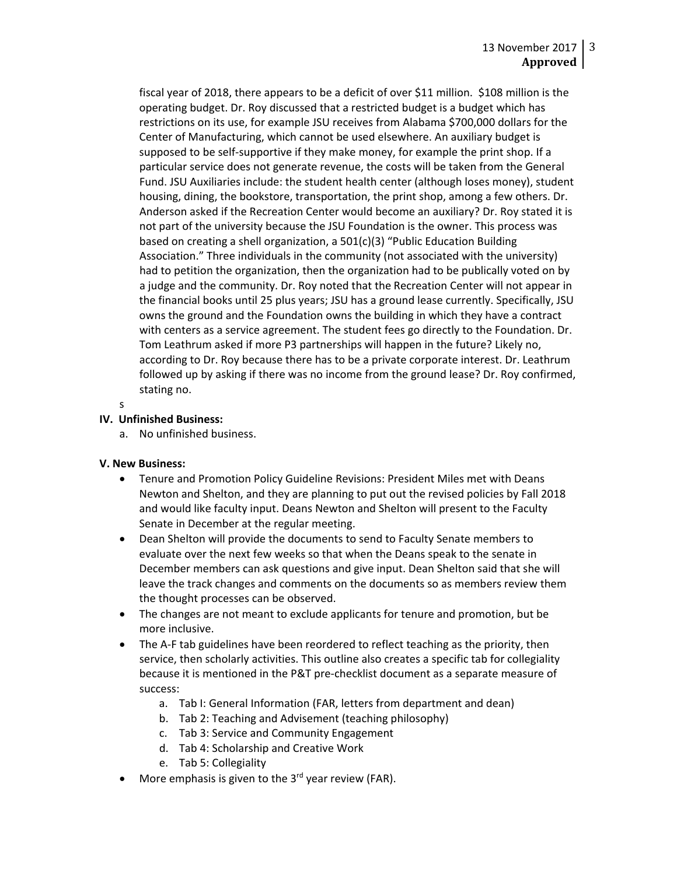fiscal year of 2018, there appears to be a deficit of over \$11 million. \$108 million is the operating budget. Dr. Roy discussed that a restricted budget is a budget which has restrictions on its use, for example JSU receives from Alabama \$700,000 dollars for the Center of Manufacturing, which cannot be used elsewhere. An auxiliary budget is supposed to be self-supportive if they make money, for example the print shop. If a particular service does not generate revenue, the costs will be taken from the General Fund. JSU Auxiliaries include: the student health center (although loses money), student housing, dining, the bookstore, transportation, the print shop, among a few others. Dr. Anderson asked if the Recreation Center would become an auxiliary? Dr. Roy stated it is not part of the university because the JSU Foundation is the owner. This process was based on creating a shell organization, a  $501(c)(3)$  "Public Education Building Association." Three individuals in the community (not associated with the university) had to petition the organization, then the organization had to be publically voted on by a judge and the community. Dr. Roy noted that the Recreation Center will not appear in the financial books until 25 plus years; JSU has a ground lease currently. Specifically, JSU owns the ground and the Foundation owns the building in which they have a contract with centers as a service agreement. The student fees go directly to the Foundation. Dr. Tom Leathrum asked if more P3 partnerships will happen in the future? Likely no, according to Dr. Roy because there has to be a private corporate interest. Dr. Leathrum followed up by asking if there was no income from the ground lease? Dr. Roy confirmed, stating no.

```
s
```
# **IV. Unfinished Business:**

a. No unfinished business.

# **V. New Business:**

- Tenure and Promotion Policy Guideline Revisions: President Miles met with Deans Newton and Shelton, and they are planning to put out the revised policies by Fall 2018 and would like faculty input. Deans Newton and Shelton will present to the Faculty Senate in December at the regular meeting.
- Dean Shelton will provide the documents to send to Faculty Senate members to evaluate over the next few weeks so that when the Deans speak to the senate in December members can ask questions and give input. Dean Shelton said that she will leave the track changes and comments on the documents so as members review them the thought processes can be observed.
- The changes are not meant to exclude applicants for tenure and promotion, but be more inclusive.
- The A-F tab guidelines have been reordered to reflect teaching as the priority, then service, then scholarly activities. This outline also creates a specific tab for collegiality because it is mentioned in the P&T pre-checklist document as a separate measure of success:
	- a. Tab I: General Information (FAR, letters from department and dean)
	- b. Tab 2: Teaching and Advisement (teaching philosophy)
	- c. Tab 3: Service and Community Engagement
	- d. Tab 4: Scholarship and Creative Work
	- e. Tab 5: Collegiality
- More emphasis is given to the  $3<sup>rd</sup>$  year review (FAR).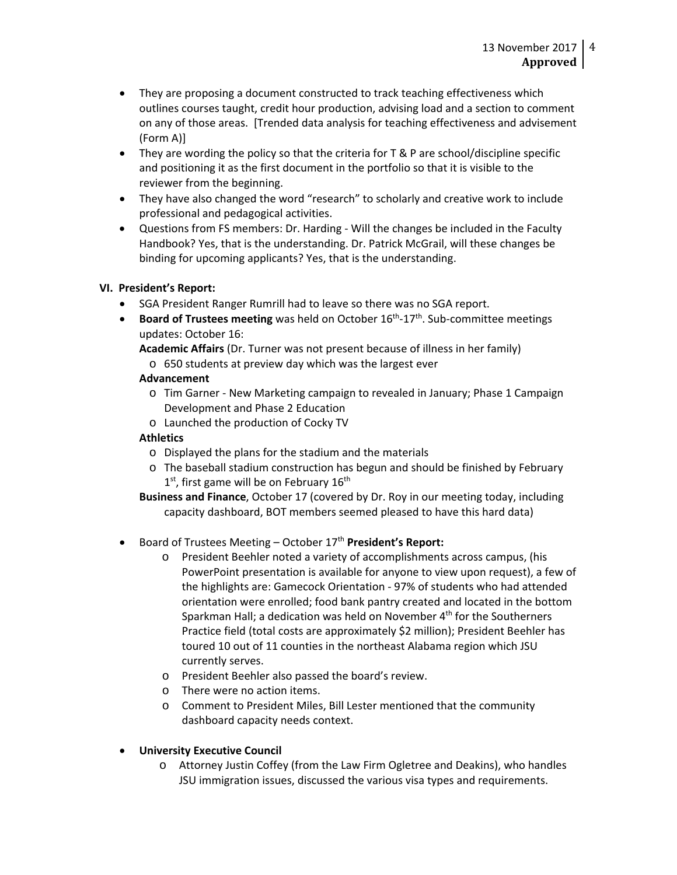- They are proposing a document constructed to track teaching effectiveness which outlines courses taught, credit hour production, advising load and a section to comment on any of those areas. [Trended data analysis for teaching effectiveness and advisement (Form A)]
- They are wording the policy so that the criteria for T & P are school/discipline specific and positioning it as the first document in the portfolio so that it is visible to the reviewer from the beginning.
- They have also changed the word "research" to scholarly and creative work to include professional and pedagogical activities.
- Questions from FS members: Dr. Harding Will the changes be included in the Faculty Handbook? Yes, that is the understanding. Dr. Patrick McGrail, will these changes be binding for upcoming applicants? Yes, that is the understanding.

# **VI. President's Report:**

- SGA President Ranger Rumrill had to leave so there was no SGA report.
- **Board of Trustees meeting** was held on October 16th-17th. Sub-committee meetings updates: October 16:

**Academic Affairs** (Dr. Turner was not present because of illness in her family) o 650 students at preview day which was the largest ever

# **Advancement**

- o Tim Garner New Marketing campaign to revealed in January; Phase 1 Campaign Development and Phase 2 Education
- o Launched the production of Cocky TV

# **Athletics**

- o Displayed the plans for the stadium and the materials
- o The baseball stadium construction has begun and should be finished by February  $1<sup>st</sup>$ , first game will be on February  $16<sup>th</sup>$
- **Business and Finance**, October 17 (covered by Dr. Roy in our meeting today, including capacity dashboard, BOT members seemed pleased to have this hard data)

# • Board of Trustees Meeting – October 17th **President's Report:**

- o President Beehler noted a variety of accomplishments across campus, (his PowerPoint presentation is available for anyone to view upon request), a few of the highlights are: Gamecock Orientation - 97% of students who had attended orientation were enrolled; food bank pantry created and located in the bottom Sparkman Hall; a dedication was held on November 4<sup>th</sup> for the Southerners Practice field (total costs are approximately \$2 million); President Beehler has toured 10 out of 11 counties in the northeast Alabama region which JSU currently serves.
- o President Beehler also passed the board's review.
- o There were no action items.
- o Comment to President Miles, Bill Lester mentioned that the community dashboard capacity needs context.
- **University Executive Council**
	- o Attorney Justin Coffey (from the Law Firm Ogletree and Deakins), who handles JSU immigration issues, discussed the various visa types and requirements.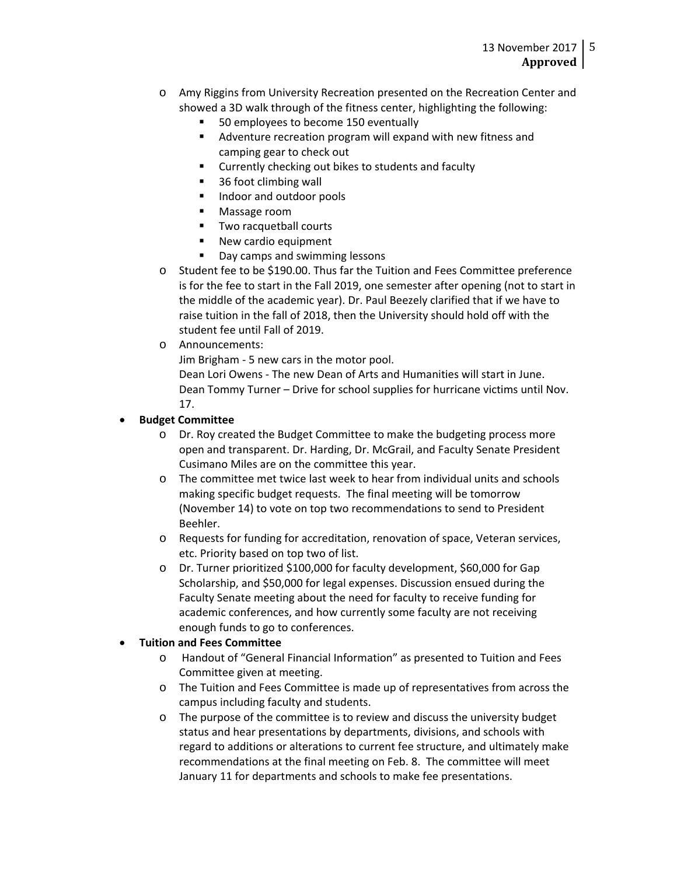- o Amy Riggins from University Recreation presented on the Recreation Center and showed a 3D walk through of the fitness center, highlighting the following:
	- 50 employees to become 150 eventually
	- Adventure recreation program will expand with new fitness and camping gear to check out
	- **EXTENUE Currently checking out bikes to students and faculty**
	- 36 foot climbing wall
	- **Indoor and outdoor pools**
	- **Massage room**
	- **Two racquetball courts**
	- **New cardio equipment**
	- Day camps and swimming lessons
- o Student fee to be \$190.00. Thus far the Tuition and Fees Committee preference is for the fee to start in the Fall 2019, one semester after opening (not to start in the middle of the academic year). Dr. Paul Beezely clarified that if we have to raise tuition in the fall of 2018, then the University should hold off with the student fee until Fall of 2019.
- o Announcements:

Jim Brigham - 5 new cars in the motor pool.

Dean Lori Owens - The new Dean of Arts and Humanities will start in June. Dean Tommy Turner – Drive for school supplies for hurricane victims until Nov. 17.

# • **Budget Committee**

- o Dr. Roy created the Budget Committee to make the budgeting process more open and transparent. Dr. Harding, Dr. McGrail, and Faculty Senate President Cusimano Miles are on the committee this year.
- o The committee met twice last week to hear from individual units and schools making specific budget requests. The final meeting will be tomorrow (November 14) to vote on top two recommendations to send to President Beehler.
- o Requests for funding for accreditation, renovation of space, Veteran services, etc. Priority based on top two of list.
- o Dr. Turner prioritized \$100,000 for faculty development, \$60,000 for Gap Scholarship, and \$50,000 for legal expenses. Discussion ensued during the Faculty Senate meeting about the need for faculty to receive funding for academic conferences, and how currently some faculty are not receiving enough funds to go to conferences.

# • **Tuition and Fees Committee**

- o Handout of "General Financial Information" as presented to Tuition and Fees Committee given at meeting.
- o The Tuition and Fees Committee is made up of representatives from across the campus including faculty and students.
- o The purpose of the committee is to review and discuss the university budget status and hear presentations by departments, divisions, and schools with regard to additions or alterations to current fee structure, and ultimately make recommendations at the final meeting on Feb. 8. The committee will meet January 11 for departments and schools to make fee presentations.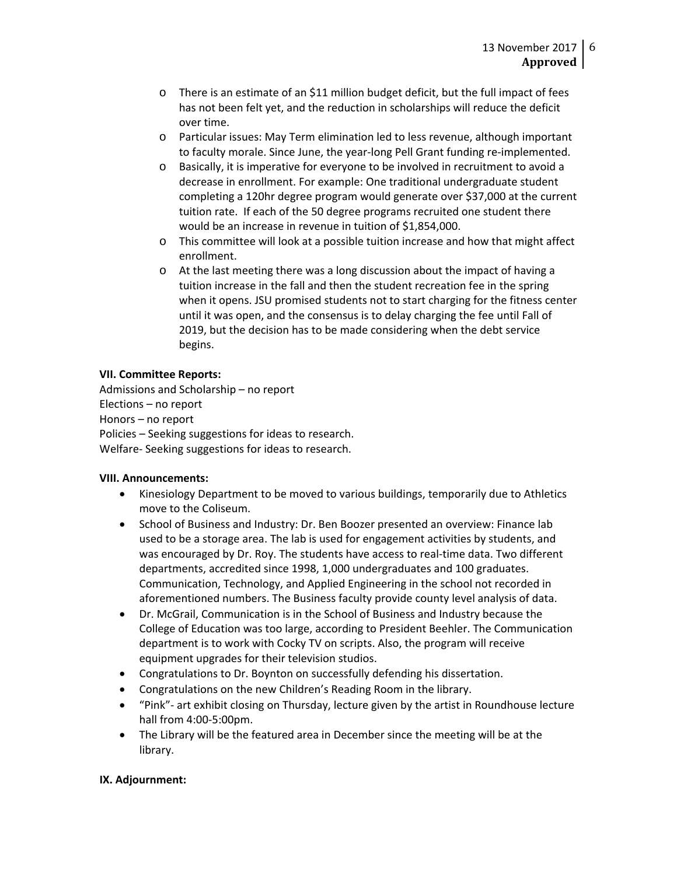- $\circ$  There is an estimate of an \$11 million budget deficit, but the full impact of fees has not been felt yet, and the reduction in scholarships will reduce the deficit over time.
- o Particular issues: May Term elimination led to less revenue, although important to faculty morale. Since June, the year-long Pell Grant funding re-implemented.
- o Basically, it is imperative for everyone to be involved in recruitment to avoid a decrease in enrollment. For example: One traditional undergraduate student completing a 120hr degree program would generate over \$37,000 at the current tuition rate. If each of the 50 degree programs recruited one student there would be an increase in revenue in tuition of \$1,854,000.
- o This committee will look at a possible tuition increase and how that might affect enrollment.
- o At the last meeting there was a long discussion about the impact of having a tuition increase in the fall and then the student recreation fee in the spring when it opens. JSU promised students not to start charging for the fitness center until it was open, and the consensus is to delay charging the fee until Fall of 2019, but the decision has to be made considering when the debt service begins.

## **VII. Committee Reports:**

Admissions and Scholarship – no report Elections – no report Honors – no report Policies – Seeking suggestions for ideas to research. Welfare- Seeking suggestions for ideas to research.

### **VIII. Announcements:**

- Kinesiology Department to be moved to various buildings, temporarily due to Athletics move to the Coliseum.
- School of Business and Industry: Dr. Ben Boozer presented an overview: Finance lab used to be a storage area. The lab is used for engagement activities by students, and was encouraged by Dr. Roy. The students have access to real-time data. Two different departments, accredited since 1998, 1,000 undergraduates and 100 graduates. Communication, Technology, and Applied Engineering in the school not recorded in aforementioned numbers. The Business faculty provide county level analysis of data.
- Dr. McGrail, Communication is in the School of Business and Industry because the College of Education was too large, according to President Beehler. The Communication department is to work with Cocky TV on scripts. Also, the program will receive equipment upgrades for their television studios.
- Congratulations to Dr. Boynton on successfully defending his dissertation.
- Congratulations on the new Children's Reading Room in the library.
- "Pink"- art exhibit closing on Thursday, lecture given by the artist in Roundhouse lecture hall from 4:00-5:00pm.
- The Library will be the featured area in December since the meeting will be at the library.

### **IX. Adjournment:**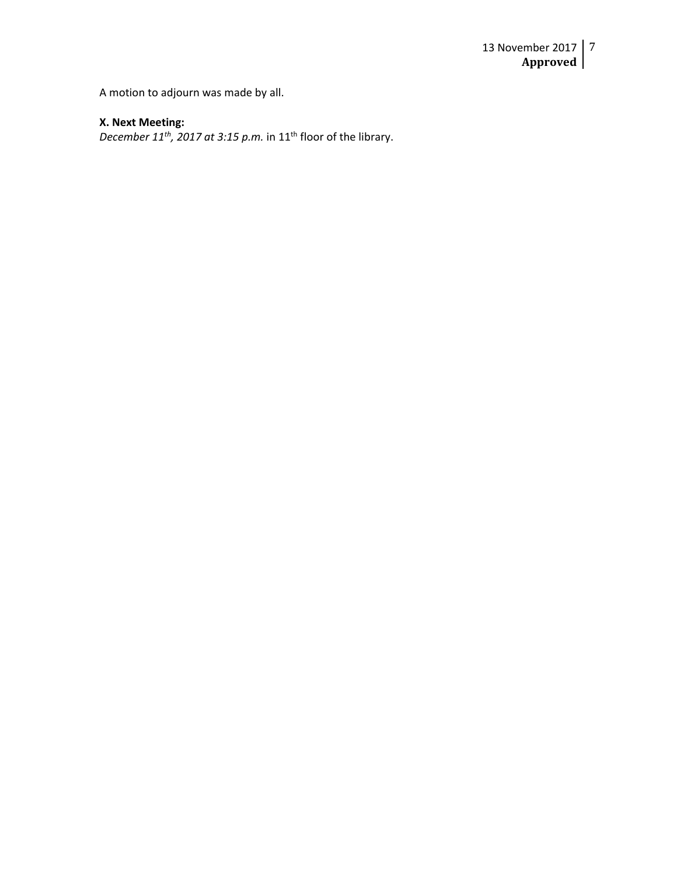A motion to adjourn was made by all.

## **X. Next Meeting:**

*December 11<sup>th</sup>, 2017 at 3:15 p.m.* in 11<sup>th</sup> floor of the library.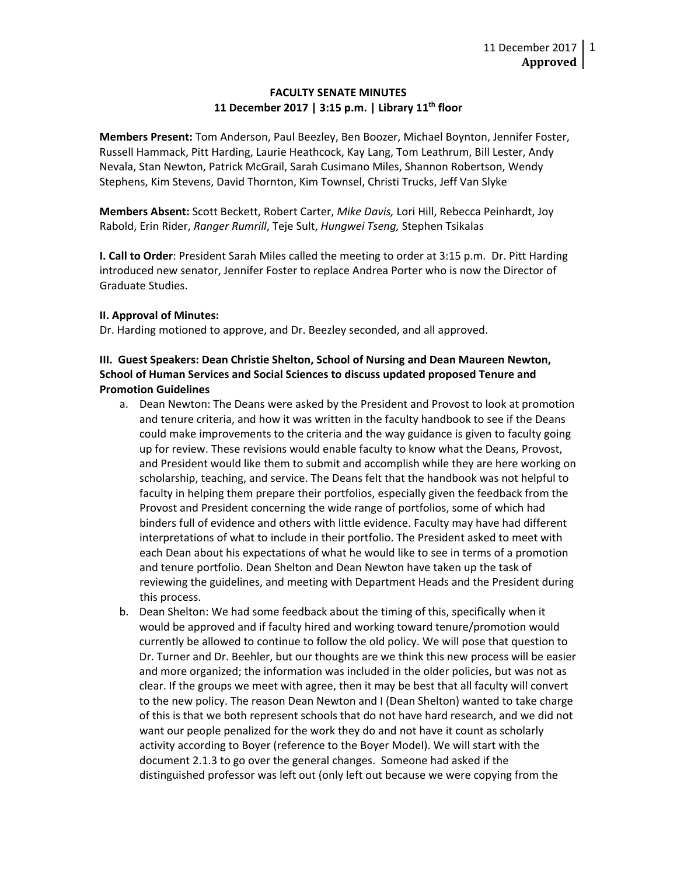### **FACULTY SENATE MINUTES 11 December 2017 | 3:15 p.m. | Library 11th floor**

**Members Present:** Tom Anderson, Paul Beezley, Ben Boozer, Michael Boynton, Jennifer Foster, Russell Hammack, Pitt Harding, Laurie Heathcock, Kay Lang, Tom Leathrum, Bill Lester, Andy Nevala, Stan Newton, Patrick McGrail, Sarah Cusimano Miles, Shannon Robertson, Wendy Stephens, Kim Stevens, David Thornton, Kim Townsel, Christi Trucks, Jeff Van Slyke

**Members Absent:** Scott Beckett, Robert Carter, *Mike Davis,* Lori Hill, Rebecca Peinhardt, Joy Rabold, Erin Rider, *Ranger Rumrill*, Teje Sult, *Hungwei Tseng,* Stephen Tsikalas

**I. Call to Order**: President Sarah Miles called the meeting to order at 3:15 p.m. Dr. Pitt Harding introduced new senator, Jennifer Foster to replace Andrea Porter who is now the Director of Graduate Studies.

### **II. Approval of Minutes:**

Dr. Harding motioned to approve, and Dr. Beezley seconded, and all approved.

# **III. Guest Speakers: Dean Christie Shelton, School of Nursing and Dean Maureen Newton, School of Human Services and Social Sciences to discuss updated proposed Tenure and Promotion Guidelines**

- a. Dean Newton: The Deans were asked by the President and Provost to look at promotion and tenure criteria, and how it was written in the faculty handbook to see if the Deans could make improvements to the criteria and the way guidance is given to faculty going up for review. These revisions would enable faculty to know what the Deans, Provost, and President would like them to submit and accomplish while they are here working on scholarship, teaching, and service. The Deans felt that the handbook was not helpful to faculty in helping them prepare their portfolios, especially given the feedback from the Provost and President concerning the wide range of portfolios, some of which had binders full of evidence and others with little evidence. Faculty may have had different interpretations of what to include in their portfolio. The President asked to meet with each Dean about his expectations of what he would like to see in terms of a promotion and tenure portfolio. Dean Shelton and Dean Newton have taken up the task of reviewing the guidelines, and meeting with Department Heads and the President during this process.
- b. Dean Shelton: We had some feedback about the timing of this, specifically when it would be approved and if faculty hired and working toward tenure/promotion would currently be allowed to continue to follow the old policy. We will pose that question to Dr. Turner and Dr. Beehler, but our thoughts are we think this new process will be easier and more organized; the information was included in the older policies, but was not as clear. If the groups we meet with agree, then it may be best that all faculty will convert to the new policy. The reason Dean Newton and I (Dean Shelton) wanted to take charge of this is that we both represent schools that do not have hard research, and we did not want our people penalized for the work they do and not have it count as scholarly activity according to Boyer (reference to the Boyer Model). We will start with the document 2.1.3 to go over the general changes. Someone had asked if the distinguished professor was left out (only left out because we were copying from the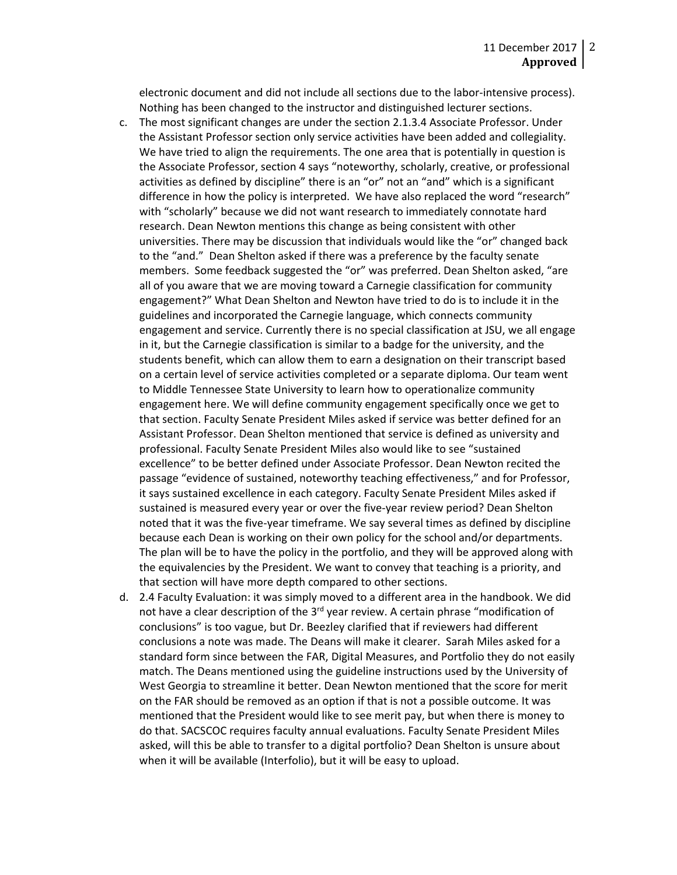electronic document and did not include all sections due to the labor-intensive process). Nothing has been changed to the instructor and distinguished lecturer sections.

- c. The most significant changes are under the section 2.1.3.4 Associate Professor. Under the Assistant Professor section only service activities have been added and collegiality. We have tried to align the requirements. The one area that is potentially in question is the Associate Professor, section 4 says "noteworthy, scholarly, creative, or professional activities as defined by discipline" there is an "or" not an "and" which is a significant difference in how the policy is interpreted. We have also replaced the word "research" with "scholarly" because we did not want research to immediately connotate hard research. Dean Newton mentions this change as being consistent with other universities. There may be discussion that individuals would like the "or" changed back to the "and." Dean Shelton asked if there was a preference by the faculty senate members. Some feedback suggested the "or" was preferred. Dean Shelton asked, "are all of you aware that we are moving toward a Carnegie classification for community engagement?" What Dean Shelton and Newton have tried to do is to include it in the guidelines and incorporated the Carnegie language, which connects community engagement and service. Currently there is no special classification at JSU, we all engage in it, but the Carnegie classification is similar to a badge for the university, and the students benefit, which can allow them to earn a designation on their transcript based on a certain level of service activities completed or a separate diploma. Our team went to Middle Tennessee State University to learn how to operationalize community engagement here. We will define community engagement specifically once we get to that section. Faculty Senate President Miles asked if service was better defined for an Assistant Professor. Dean Shelton mentioned that service is defined as university and professional. Faculty Senate President Miles also would like to see "sustained excellence" to be better defined under Associate Professor. Dean Newton recited the passage "evidence of sustained, noteworthy teaching effectiveness," and for Professor, it says sustained excellence in each category. Faculty Senate President Miles asked if sustained is measured every year or over the five-year review period? Dean Shelton noted that it was the five-year timeframe. We say several times as defined by discipline because each Dean is working on their own policy for the school and/or departments. The plan will be to have the policy in the portfolio, and they will be approved along with the equivalencies by the President. We want to convey that teaching is a priority, and that section will have more depth compared to other sections.
- d. 2.4 Faculty Evaluation: it was simply moved to a different area in the handbook. We did not have a clear description of the  $3<sup>rd</sup>$  year review. A certain phrase "modification of conclusions" is too vague, but Dr. Beezley clarified that if reviewers had different conclusions a note was made. The Deans will make it clearer. Sarah Miles asked for a standard form since between the FAR, Digital Measures, and Portfolio they do not easily match. The Deans mentioned using the guideline instructions used by the University of West Georgia to streamline it better. Dean Newton mentioned that the score for merit on the FAR should be removed as an option if that is not a possible outcome. It was mentioned that the President would like to see merit pay, but when there is money to do that. SACSCOC requires faculty annual evaluations. Faculty Senate President Miles asked, will this be able to transfer to a digital portfolio? Dean Shelton is unsure about when it will be available (Interfolio), but it will be easy to upload.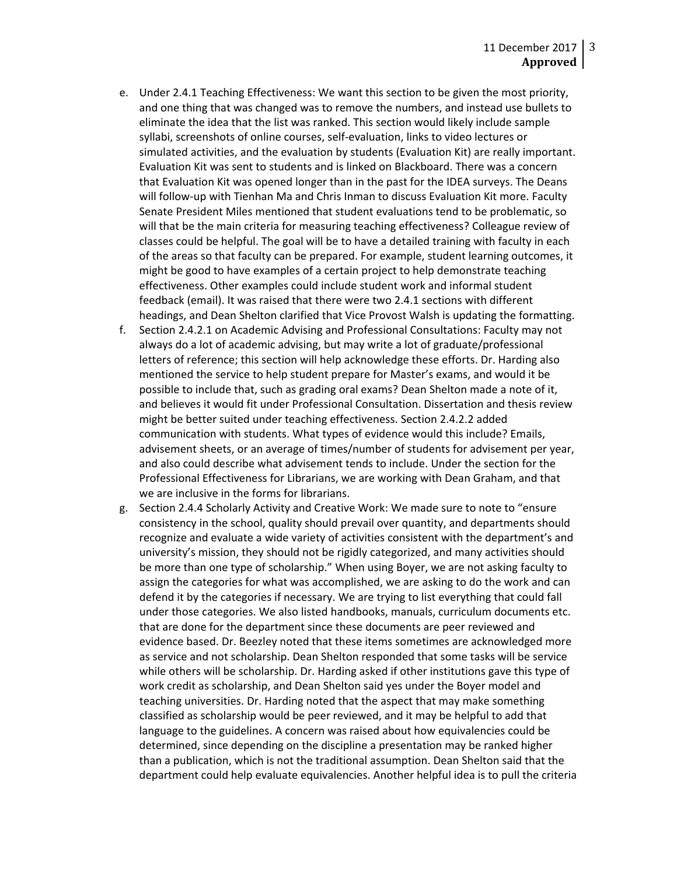- e. Under 2.4.1 Teaching Effectiveness: We want this section to be given the most priority, and one thing that was changed was to remove the numbers, and instead use bullets to eliminate the idea that the list was ranked. This section would likely include sample syllabi, screenshots of online courses, self-evaluation, links to video lectures or simulated activities, and the evaluation by students (Evaluation Kit) are really important. Evaluation Kit was sent to students and is linked on Blackboard. There was a concern that Evaluation Kit was opened longer than in the past for the IDEA surveys. The Deans will follow-up with Tienhan Ma and Chris Inman to discuss Evaluation Kit more. Faculty Senate President Miles mentioned that student evaluations tend to be problematic, so will that be the main criteria for measuring teaching effectiveness? Colleague review of classes could be helpful. The goal will be to have a detailed training with faculty in each of the areas so that faculty can be prepared. For example, student learning outcomes, it might be good to have examples of a certain project to help demonstrate teaching effectiveness. Other examples could include student work and informal student feedback (email). It was raised that there were two 2.4.1 sections with different headings, and Dean Shelton clarified that Vice Provost Walsh is updating the formatting.
- f. Section 2.4.2.1 on Academic Advising and Professional Consultations: Faculty may not always do a lot of academic advising, but may write a lot of graduate/professional letters of reference; this section will help acknowledge these efforts. Dr. Harding also mentioned the service to help student prepare for Master's exams, and would it be possible to include that, such as grading oral exams? Dean Shelton made a note of it, and believes it would fit under Professional Consultation. Dissertation and thesis review might be better suited under teaching effectiveness. Section 2.4.2.2 added communication with students. What types of evidence would this include? Emails, advisement sheets, or an average of times/number of students for advisement per year, and also could describe what advisement tends to include. Under the section for the Professional Effectiveness for Librarians, we are working with Dean Graham, and that we are inclusive in the forms for librarians.
- g. Section 2.4.4 Scholarly Activity and Creative Work: We made sure to note to "ensure consistency in the school, quality should prevail over quantity, and departments should recognize and evaluate a wide variety of activities consistent with the department's and university's mission, they should not be rigidly categorized, and many activities should be more than one type of scholarship." When using Boyer, we are not asking faculty to assign the categories for what was accomplished, we are asking to do the work and can defend it by the categories if necessary. We are trying to list everything that could fall under those categories. We also listed handbooks, manuals, curriculum documents etc. that are done for the department since these documents are peer reviewed and evidence based. Dr. Beezley noted that these items sometimes are acknowledged more as service and not scholarship. Dean Shelton responded that some tasks will be service while others will be scholarship. Dr. Harding asked if other institutions gave this type of work credit as scholarship, and Dean Shelton said yes under the Boyer model and teaching universities. Dr. Harding noted that the aspect that may make something classified as scholarship would be peer reviewed, and it may be helpful to add that language to the guidelines. A concern was raised about how equivalencies could be determined, since depending on the discipline a presentation may be ranked higher than a publication, which is not the traditional assumption. Dean Shelton said that the department could help evaluate equivalencies. Another helpful idea is to pull the criteria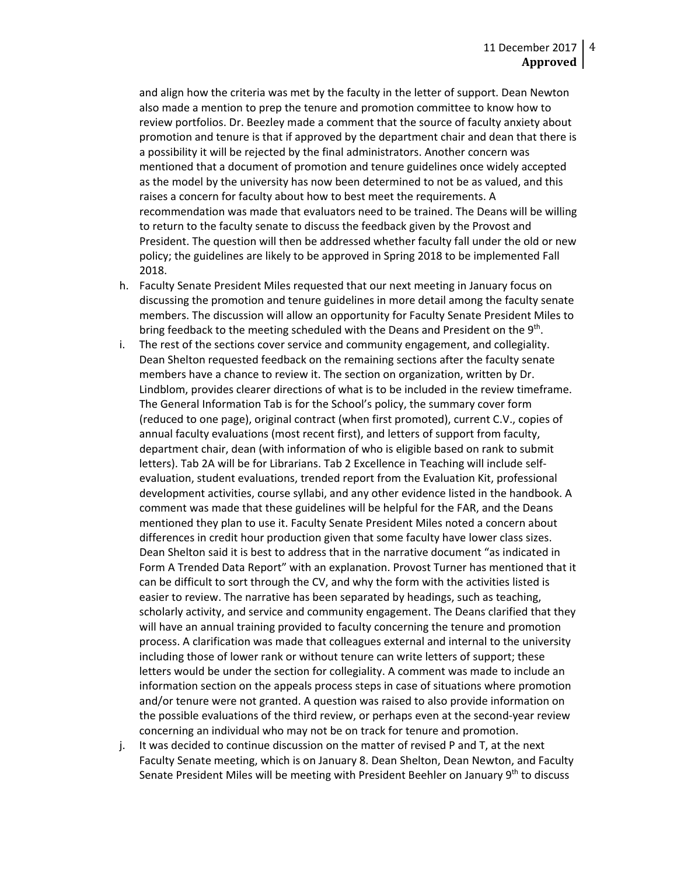and align how the criteria was met by the faculty in the letter of support. Dean Newton also made a mention to prep the tenure and promotion committee to know how to review portfolios. Dr. Beezley made a comment that the source of faculty anxiety about promotion and tenure is that if approved by the department chair and dean that there is a possibility it will be rejected by the final administrators. Another concern was mentioned that a document of promotion and tenure guidelines once widely accepted as the model by the university has now been determined to not be as valued, and this raises a concern for faculty about how to best meet the requirements. A recommendation was made that evaluators need to be trained. The Deans will be willing to return to the faculty senate to discuss the feedback given by the Provost and President. The question will then be addressed whether faculty fall under the old or new policy; the guidelines are likely to be approved in Spring 2018 to be implemented Fall 2018.

- h. Faculty Senate President Miles requested that our next meeting in January focus on discussing the promotion and tenure guidelines in more detail among the faculty senate members. The discussion will allow an opportunity for Faculty Senate President Miles to bring feedback to the meeting scheduled with the Deans and President on the 9<sup>th</sup>.
- i. The rest of the sections cover service and community engagement, and collegiality. Dean Shelton requested feedback on the remaining sections after the faculty senate members have a chance to review it. The section on organization, written by Dr. Lindblom, provides clearer directions of what is to be included in the review timeframe. The General Information Tab is for the School's policy, the summary cover form (reduced to one page), original contract (when first promoted), current C.V., copies of annual faculty evaluations (most recent first), and letters of support from faculty, department chair, dean (with information of who is eligible based on rank to submit letters). Tab 2A will be for Librarians. Tab 2 Excellence in Teaching will include selfevaluation, student evaluations, trended report from the Evaluation Kit, professional development activities, course syllabi, and any other evidence listed in the handbook. A comment was made that these guidelines will be helpful for the FAR, and the Deans mentioned they plan to use it. Faculty Senate President Miles noted a concern about differences in credit hour production given that some faculty have lower class sizes. Dean Shelton said it is best to address that in the narrative document "as indicated in Form A Trended Data Report" with an explanation. Provost Turner has mentioned that it can be difficult to sort through the CV, and why the form with the activities listed is easier to review. The narrative has been separated by headings, such as teaching, scholarly activity, and service and community engagement. The Deans clarified that they will have an annual training provided to faculty concerning the tenure and promotion process. A clarification was made that colleagues external and internal to the university including those of lower rank or without tenure can write letters of support; these letters would be under the section for collegiality. A comment was made to include an information section on the appeals process steps in case of situations where promotion and/or tenure were not granted. A question was raised to also provide information on the possible evaluations of the third review, or perhaps even at the second-year review concerning an individual who may not be on track for tenure and promotion.
- j. It was decided to continue discussion on the matter of revised P and T, at the next Faculty Senate meeting, which is on January 8. Dean Shelton, Dean Newton, and Faculty Senate President Miles will be meeting with President Beehler on January  $9<sup>th</sup>$  to discuss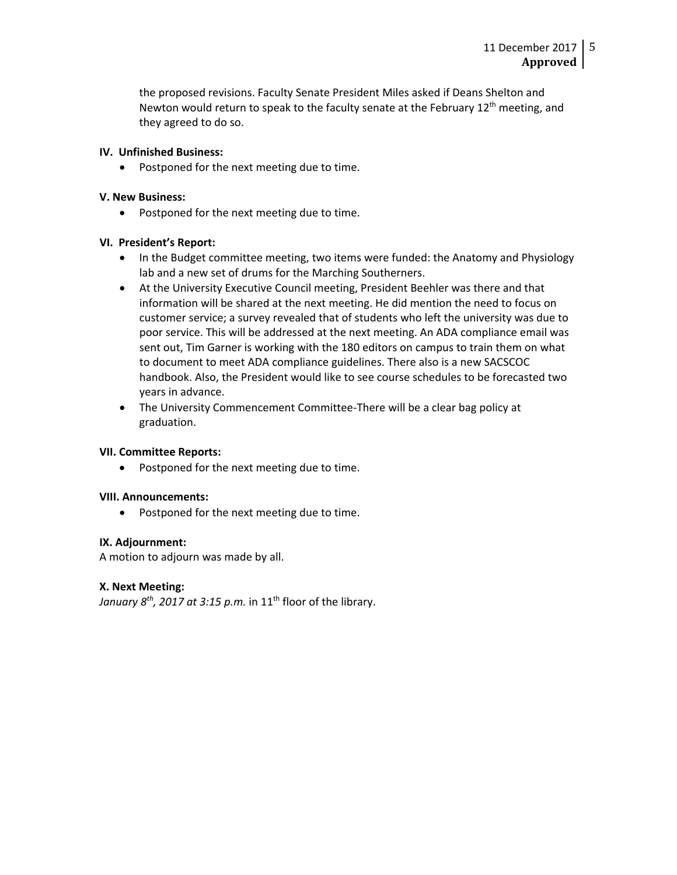the proposed revisions. Faculty Senate President Miles asked if Deans Shelton and Newton would return to speak to the faculty senate at the February  $12<sup>th</sup>$  meeting, and they agreed to do so.

## **IV. Unfinished Business:**

• Postponed for the next meeting due to time.

## **V. New Business:**

• Postponed for the next meeting due to time.

## **VI. President's Report:**

- In the Budget committee meeting, two items were funded: the Anatomy and Physiology lab and a new set of drums for the Marching Southerners.
- At the University Executive Council meeting, President Beehler was there and that information will be shared at the next meeting. He did mention the need to focus on customer service; a survey revealed that of students who left the university was due to poor service. This will be addressed at the next meeting. An ADA compliance email was sent out, Tim Garner is working with the 180 editors on campus to train them on what to document to meet ADA compliance guidelines. There also is a new SACSCOC handbook. Also, the President would like to see course schedules to be forecasted two years in advance.
- The University Commencement Committee-There will be a clear bag policy at graduation.

# **VII. Committee Reports:**

• Postponed for the next meeting due to time.

### **VIII. Announcements:**

• Postponed for the next meeting due to time.

### **IX. Adjournment:**

A motion to adjourn was made by all.

# **X. Next Meeting:**

*January 8<sup>th</sup>*, 2017 at 3:15 p.m. in 11<sup>th</sup> floor of the library.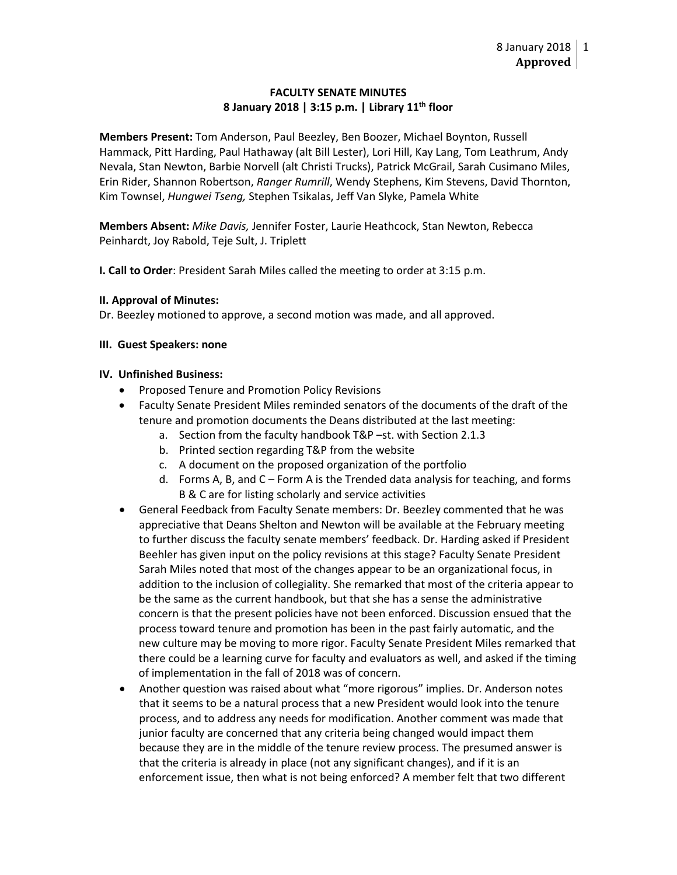## **FACULTY SENATE MINUTES 8 January 2018 | 3:15 p.m. | Library 11th floor**

**Members Present:** Tom Anderson, Paul Beezley, Ben Boozer, Michael Boynton, Russell Hammack, Pitt Harding, Paul Hathaway (alt Bill Lester), Lori Hill, Kay Lang, Tom Leathrum, Andy Nevala, Stan Newton, Barbie Norvell (alt Christi Trucks), Patrick McGrail, Sarah Cusimano Miles, Erin Rider, Shannon Robertson, *Ranger Rumrill*, Wendy Stephens, Kim Stevens, David Thornton, Kim Townsel, *Hungwei Tseng,* Stephen Tsikalas, Jeff Van Slyke, Pamela White

**Members Absent:** *Mike Davis,* Jennifer Foster, Laurie Heathcock, Stan Newton, Rebecca Peinhardt, Joy Rabold, Teje Sult, J. Triplett

**I. Call to Order**: President Sarah Miles called the meeting to order at 3:15 p.m.

### **II. Approval of Minutes:**

Dr. Beezley motioned to approve, a second motion was made, and all approved.

## **III. Guest Speakers: none**

## **IV. Unfinished Business:**

- Proposed Tenure and Promotion Policy Revisions
- Faculty Senate President Miles reminded senators of the documents of the draft of the tenure and promotion documents the Deans distributed at the last meeting:
	- a. Section from the faculty handbook T&P –st. with Section 2.1.3
	- b. Printed section regarding T&P from the website
	- c. A document on the proposed organization of the portfolio
	- d. Forms A, B, and C Form A is the Trended data analysis for teaching, and forms B & C are for listing scholarly and service activities
- General Feedback from Faculty Senate members: Dr. Beezley commented that he was appreciative that Deans Shelton and Newton will be available at the February meeting to further discuss the faculty senate members' feedback. Dr. Harding asked if President Beehler has given input on the policy revisions at this stage? Faculty Senate President Sarah Miles noted that most of the changes appear to be an organizational focus, in addition to the inclusion of collegiality. She remarked that most of the criteria appear to be the same as the current handbook, but that she has a sense the administrative concern is that the present policies have not been enforced. Discussion ensued that the process toward tenure and promotion has been in the past fairly automatic, and the new culture may be moving to more rigor. Faculty Senate President Miles remarked that there could be a learning curve for faculty and evaluators as well, and asked if the timing of implementation in the fall of 2018 was of concern.
- Another question was raised about what "more rigorous" implies. Dr. Anderson notes that it seems to be a natural process that a new President would look into the tenure process, and to address any needs for modification. Another comment was made that junior faculty are concerned that any criteria being changed would impact them because they are in the middle of the tenure review process. The presumed answer is that the criteria is already in place (not any significant changes), and if it is an enforcement issue, then what is not being enforced? A member felt that two different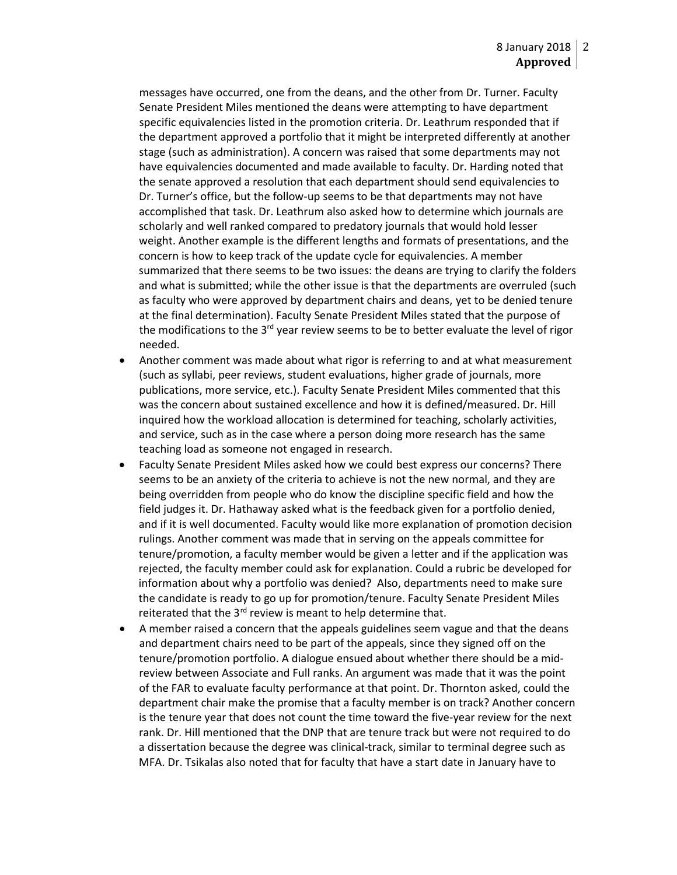messages have occurred, one from the deans, and the other from Dr. Turner. Faculty Senate President Miles mentioned the deans were attempting to have department specific equivalencies listed in the promotion criteria. Dr. Leathrum responded that if the department approved a portfolio that it might be interpreted differently at another stage (such as administration). A concern was raised that some departments may not have equivalencies documented and made available to faculty. Dr. Harding noted that the senate approved a resolution that each department should send equivalencies to Dr. Turner's office, but the follow-up seems to be that departments may not have accomplished that task. Dr. Leathrum also asked how to determine which journals are scholarly and well ranked compared to predatory journals that would hold lesser weight. Another example is the different lengths and formats of presentations, and the concern is how to keep track of the update cycle for equivalencies. A member summarized that there seems to be two issues: the deans are trying to clarify the folders and what is submitted; while the other issue is that the departments are overruled (such as faculty who were approved by department chairs and deans, yet to be denied tenure at the final determination). Faculty Senate President Miles stated that the purpose of the modifications to the  $3^{rd}$  year review seems to be to better evaluate the level of rigor needed.

- Another comment was made about what rigor is referring to and at what measurement (such as syllabi, peer reviews, student evaluations, higher grade of journals, more publications, more service, etc.). Faculty Senate President Miles commented that this was the concern about sustained excellence and how it is defined/measured. Dr. Hill inquired how the workload allocation is determined for teaching, scholarly activities, and service, such as in the case where a person doing more research has the same teaching load as someone not engaged in research.
- Faculty Senate President Miles asked how we could best express our concerns? There seems to be an anxiety of the criteria to achieve is not the new normal, and they are being overridden from people who do know the discipline specific field and how the field judges it. Dr. Hathaway asked what is the feedback given for a portfolio denied, and if it is well documented. Faculty would like more explanation of promotion decision rulings. Another comment was made that in serving on the appeals committee for tenure/promotion, a faculty member would be given a letter and if the application was rejected, the faculty member could ask for explanation. Could a rubric be developed for information about why a portfolio was denied? Also, departments need to make sure the candidate is ready to go up for promotion/tenure. Faculty Senate President Miles reiterated that the  $3^{rd}$  review is meant to help determine that.
- A member raised a concern that the appeals guidelines seem vague and that the deans and department chairs need to be part of the appeals, since they signed off on the tenure/promotion portfolio. A dialogue ensued about whether there should be a midreview between Associate and Full ranks. An argument was made that it was the point of the FAR to evaluate faculty performance at that point. Dr. Thornton asked, could the department chair make the promise that a faculty member is on track? Another concern is the tenure year that does not count the time toward the five-year review for the next rank. Dr. Hill mentioned that the DNP that are tenure track but were not required to do a dissertation because the degree was clinical-track, similar to terminal degree such as MFA. Dr. Tsikalas also noted that for faculty that have a start date in January have to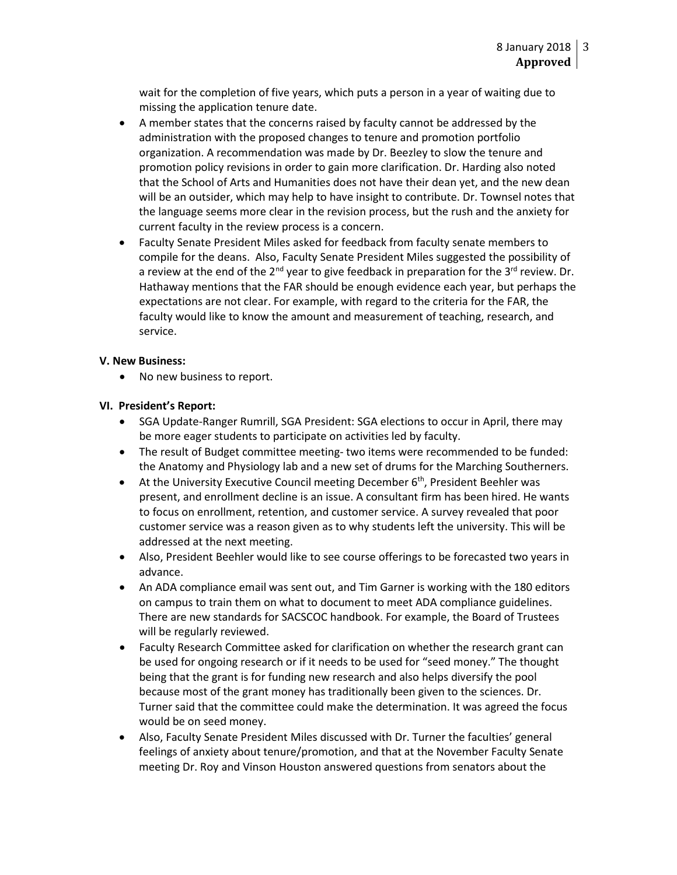wait for the completion of five years, which puts a person in a year of waiting due to missing the application tenure date.

- A member states that the concerns raised by faculty cannot be addressed by the administration with the proposed changes to tenure and promotion portfolio organization. A recommendation was made by Dr. Beezley to slow the tenure and promotion policy revisions in order to gain more clarification. Dr. Harding also noted that the School of Arts and Humanities does not have their dean yet, and the new dean will be an outsider, which may help to have insight to contribute. Dr. Townsel notes that the language seems more clear in the revision process, but the rush and the anxiety for current faculty in the review process is a concern.
- Faculty Senate President Miles asked for feedback from faculty senate members to compile for the deans. Also, Faculty Senate President Miles suggested the possibility of a review at the end of the  $2^{nd}$  year to give feedback in preparation for the  $3^{rd}$  review. Dr. Hathaway mentions that the FAR should be enough evidence each year, but perhaps the expectations are not clear. For example, with regard to the criteria for the FAR, the faculty would like to know the amount and measurement of teaching, research, and service.

### **V. New Business:**

• No new business to report.

## **VI. President's Report:**

- SGA Update-Ranger Rumrill, SGA President: SGA elections to occur in April, there may be more eager students to participate on activities led by faculty.
- The result of Budget committee meeting- two items were recommended to be funded: the Anatomy and Physiology lab and a new set of drums for the Marching Southerners.
- At the University Executive Council meeting December 6<sup>th</sup>, President Beehler was present, and enrollment decline is an issue. A consultant firm has been hired. He wants to focus on enrollment, retention, and customer service. A survey revealed that poor customer service was a reason given as to why students left the university. This will be addressed at the next meeting.
- Also, President Beehler would like to see course offerings to be forecasted two years in advance.
- An ADA compliance email was sent out, and Tim Garner is working with the 180 editors on campus to train them on what to document to meet ADA compliance guidelines. There are new standards for SACSCOC handbook. For example, the Board of Trustees will be regularly reviewed.
- Faculty Research Committee asked for clarification on whether the research grant can be used for ongoing research or if it needs to be used for "seed money." The thought being that the grant is for funding new research and also helps diversify the pool because most of the grant money has traditionally been given to the sciences. Dr. Turner said that the committee could make the determination. It was agreed the focus would be on seed money.
- Also, Faculty Senate President Miles discussed with Dr. Turner the faculties' general feelings of anxiety about tenure/promotion, and that at the November Faculty Senate meeting Dr. Roy and Vinson Houston answered questions from senators about the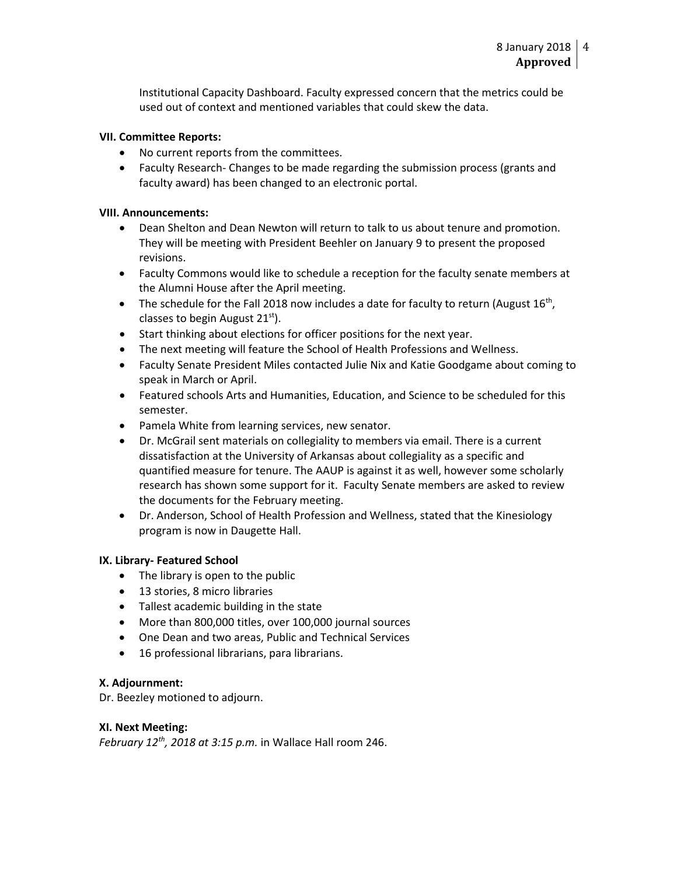Institutional Capacity Dashboard. Faculty expressed concern that the metrics could be used out of context and mentioned variables that could skew the data.

## **VII. Committee Reports:**

- No current reports from the committees.
- Faculty Research- Changes to be made regarding the submission process (grants and faculty award) has been changed to an electronic portal.

### **VIII. Announcements:**

- Dean Shelton and Dean Newton will return to talk to us about tenure and promotion. They will be meeting with President Beehler on January 9 to present the proposed revisions.
- Faculty Commons would like to schedule a reception for the faculty senate members at the Alumni House after the April meeting.
- The schedule for the Fall 2018 now includes a date for faculty to return (August  $16^{th}$ , classes to begin August  $21<sup>st</sup>$ ).
- Start thinking about elections for officer positions for the next year.
- The next meeting will feature the School of Health Professions and Wellness.
- Faculty Senate President Miles contacted Julie Nix and Katie Goodgame about coming to speak in March or April.
- Featured schools Arts and Humanities, Education, and Science to be scheduled for this semester.
- Pamela White from learning services, new senator.
- Dr. McGrail sent materials on collegiality to members via email. There is a current dissatisfaction at the University of Arkansas about collegiality as a specific and quantified measure for tenure. The AAUP is against it as well, however some scholarly research has shown some support for it. Faculty Senate members are asked to review the documents for the February meeting.
- Dr. Anderson, School of Health Profession and Wellness, stated that the Kinesiology program is now in Daugette Hall.

### **IX. Library- Featured School**

- The library is open to the public
- 13 stories, 8 micro libraries
- Tallest academic building in the state
- More than 800,000 titles, over 100,000 journal sources
- One Dean and two areas, Public and Technical Services
- 16 professional librarians, para librarians.

### **X. Adjournment:**

Dr. Beezley motioned to adjourn.

### **XI. Next Meeting:**

*February 12th, 2018 at 3:15 p.m.* in Wallace Hall room 246.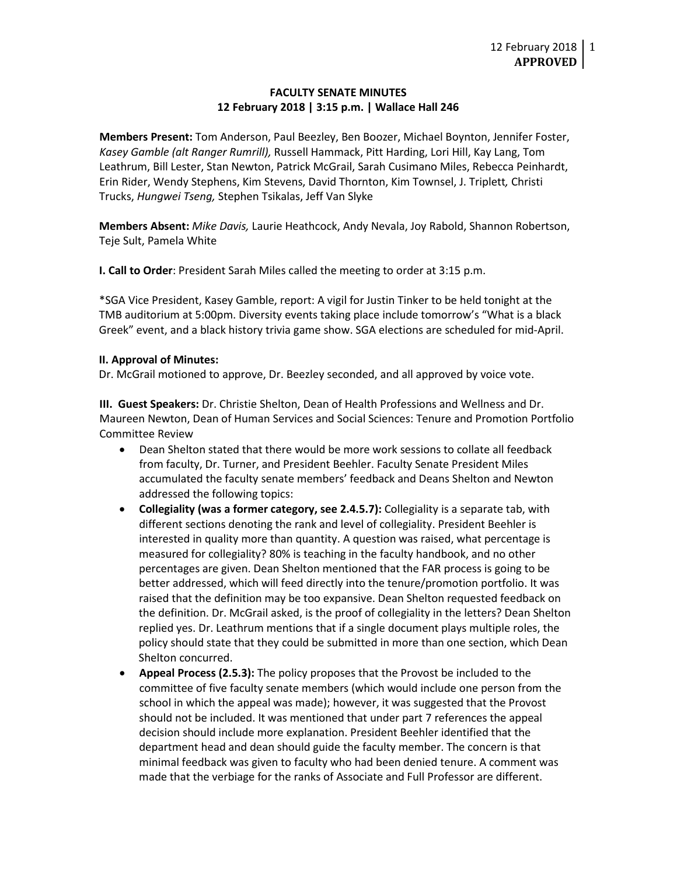### **FACULTY SENATE MINUTES 12 February 2018 | 3:15 p.m. | Wallace Hall 246**

**Members Present:** Tom Anderson, Paul Beezley, Ben Boozer, Michael Boynton, Jennifer Foster, *Kasey Gamble (alt Ranger Rumrill),* Russell Hammack, Pitt Harding, Lori Hill, Kay Lang, Tom Leathrum, Bill Lester, Stan Newton, Patrick McGrail, Sarah Cusimano Miles, Rebecca Peinhardt, Erin Rider, Wendy Stephens, Kim Stevens, David Thornton, Kim Townsel, J. Triplett*,* Christi Trucks, *Hungwei Tseng,* Stephen Tsikalas, Jeff Van Slyke

**Members Absent:** *Mike Davis,* Laurie Heathcock, Andy Nevala, Joy Rabold, Shannon Robertson, Teje Sult, Pamela White

**I. Call to Order**: President Sarah Miles called the meeting to order at 3:15 p.m.

\*SGA Vice President, Kasey Gamble, report: A vigil for Justin Tinker to be held tonight at the TMB auditorium at 5:00pm. Diversity events taking place include tomorrow's "What is a black Greek" event, and a black history trivia game show. SGA elections are scheduled for mid-April.

#### **II. Approval of Minutes:**

Dr. McGrail motioned to approve, Dr. Beezley seconded, and all approved by voice vote.

**III. Guest Speakers:** Dr. Christie Shelton, Dean of Health Professions and Wellness and Dr. Maureen Newton, Dean of Human Services and Social Sciences: Tenure and Promotion Portfolio Committee Review

- Dean Shelton stated that there would be more work sessions to collate all feedback from faculty, Dr. Turner, and President Beehler. Faculty Senate President Miles accumulated the faculty senate members' feedback and Deans Shelton and Newton addressed the following topics:
- **Collegiality (was a former category, see 2.4.5.7):** Collegiality is a separate tab, with different sections denoting the rank and level of collegiality. President Beehler is interested in quality more than quantity. A question was raised, what percentage is measured for collegiality? 80% is teaching in the faculty handbook, and no other percentages are given. Dean Shelton mentioned that the FAR process is going to be better addressed, which will feed directly into the tenure/promotion portfolio. It was raised that the definition may be too expansive. Dean Shelton requested feedback on the definition. Dr. McGrail asked, is the proof of collegiality in the letters? Dean Shelton replied yes. Dr. Leathrum mentions that if a single document plays multiple roles, the policy should state that they could be submitted in more than one section, which Dean Shelton concurred.
- **Appeal Process (2.5.3):** The policy proposes that the Provost be included to the committee of five faculty senate members (which would include one person from the school in which the appeal was made); however, it was suggested that the Provost should not be included. It was mentioned that under part 7 references the appeal decision should include more explanation. President Beehler identified that the department head and dean should guide the faculty member. The concern is that minimal feedback was given to faculty who had been denied tenure. A comment was made that the verbiage for the ranks of Associate and Full Professor are different.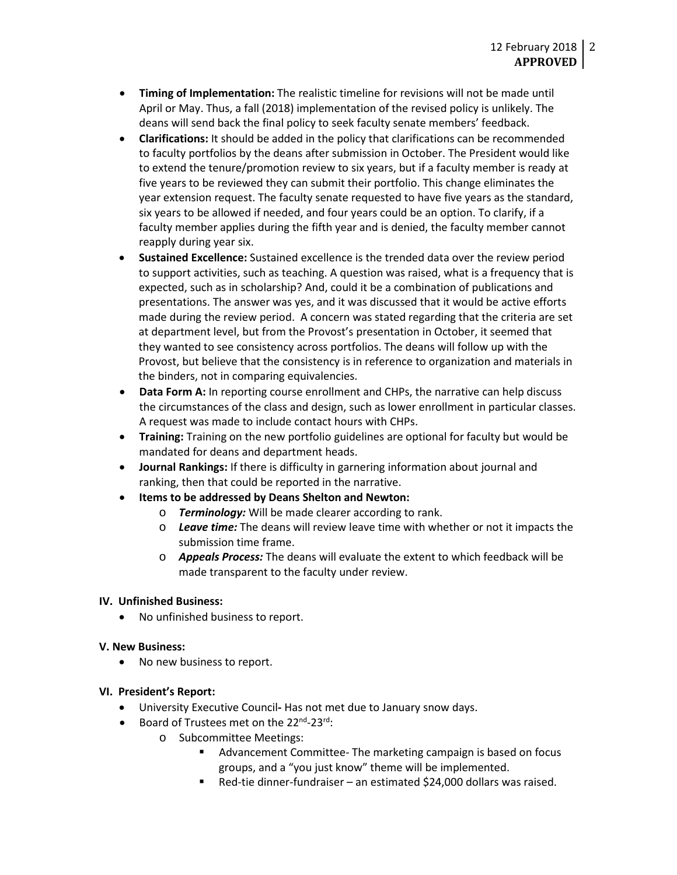- **Timing of Implementation:** The realistic timeline for revisions will not be made until April or May. Thus, a fall (2018) implementation of the revised policy is unlikely. The deans will send back the final policy to seek faculty senate members' feedback.
- **Clarifications:** It should be added in the policy that clarifications can be recommended to faculty portfolios by the deans after submission in October. The President would like to extend the tenure/promotion review to six years, but if a faculty member is ready at five years to be reviewed they can submit their portfolio. This change eliminates the year extension request. The faculty senate requested to have five years as the standard, six years to be allowed if needed, and four years could be an option. To clarify, if a faculty member applies during the fifth year and is denied, the faculty member cannot reapply during year six.
- **Sustained Excellence:** Sustained excellence is the trended data over the review period to support activities, such as teaching. A question was raised, what is a frequency that is expected, such as in scholarship? And, could it be a combination of publications and presentations. The answer was yes, and it was discussed that it would be active efforts made during the review period. A concern was stated regarding that the criteria are set at department level, but from the Provost's presentation in October, it seemed that they wanted to see consistency across portfolios. The deans will follow up with the Provost, but believe that the consistency is in reference to organization and materials in the binders, not in comparing equivalencies.
- **Data Form A:** In reporting course enrollment and CHPs, the narrative can help discuss the circumstances of the class and design, such as lower enrollment in particular classes. A request was made to include contact hours with CHPs.
- **Training:** Training on the new portfolio guidelines are optional for faculty but would be mandated for deans and department heads.
- **Journal Rankings:** If there is difficulty in garnering information about journal and ranking, then that could be reported in the narrative.
- **Items to be addressed by Deans Shelton and Newton:**
	- o *Terminology:* Will be made clearer according to rank.
	- o *Leave time:* The deans will review leave time with whether or not it impacts the submission time frame.
	- o *Appeals Process:* The deans will evaluate the extent to which feedback will be made transparent to the faculty under review.

### **IV. Unfinished Business:**

• No unfinished business to report.

### **V. New Business:**

• No new business to report.

### **VI. President's Report:**

- University Executive Council**-** Has not met due to January snow days.
- Board of Trustees met on the 22<sup>nd</sup>-23<sup>rd</sup>:
	- o Subcommittee Meetings:
		- Advancement Committee- The marketing campaign is based on focus groups, and a "you just know" theme will be implemented.
		- Red-tie dinner-fundraiser an estimated \$24,000 dollars was raised.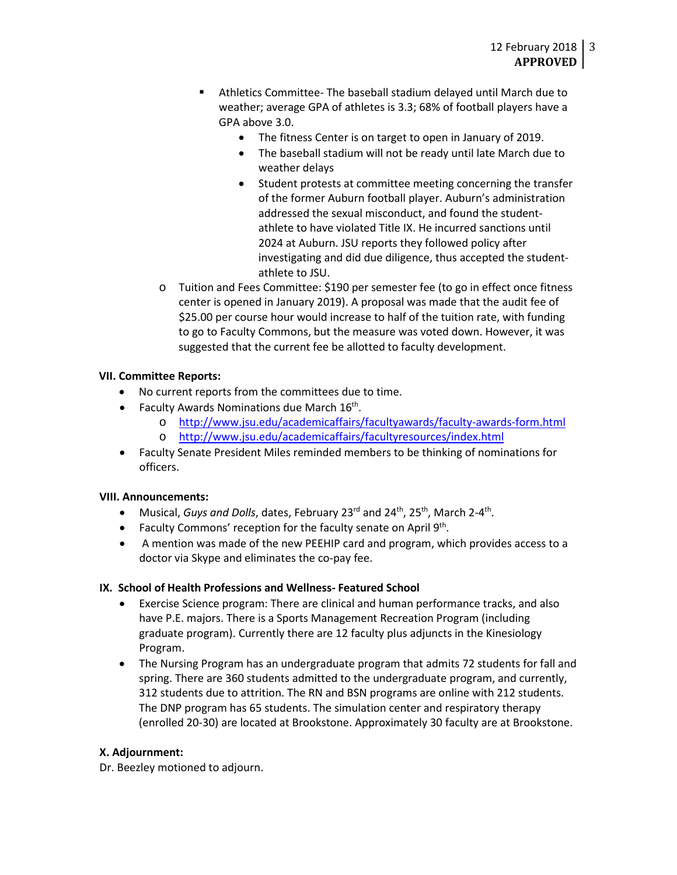- Athletics Committee- The baseball stadium delayed until March due to weather; average GPA of athletes is 3.3; 68% of football players have a GPA above 3.0.
	- The fitness Center is on target to open in January of 2019.
	- The baseball stadium will not be ready until late March due to weather delays
	- Student protests at committee meeting concerning the transfer of the former Auburn football player. Auburn's administration addressed the sexual misconduct, and found the studentathlete to have violated Title IX. He incurred sanctions until 2024 at Auburn. JSU reports they followed policy after investigating and did due diligence, thus accepted the studentathlete to JSU.
- o Tuition and Fees Committee: \$190 per semester fee (to go in effect once fitness center is opened in January 2019). A proposal was made that the audit fee of \$25.00 per course hour would increase to half of the tuition rate, with funding to go to Faculty Commons, but the measure was voted down. However, it was suggested that the current fee be allotted to faculty development.

# **VII. Committee Reports:**

- No current reports from the committees due to time.
- Faculty Awards Nominations due March  $16<sup>th</sup>$ .
	- o <http://www.jsu.edu/academicaffairs/facultyawards/faculty-awards-form.html>
	- o <http://www.jsu.edu/academicaffairs/facultyresources/index.html>
- Faculty Senate President Miles reminded members to be thinking of nominations for officers.

### **VIII. Announcements:**

- Musical, *Guys and Dolls*, dates, February 23rd and 24th, 25th, March 2-4th.
- Faculty Commons' reception for the faculty senate on April 9<sup>th</sup>.
- A mention was made of the new PEEHIP card and program, which provides access to a doctor via Skype and eliminates the co-pay fee.

### **IX. School of Health Professions and Wellness- Featured School**

- Exercise Science program: There are clinical and human performance tracks, and also have P.E. majors. There is a Sports Management Recreation Program (including graduate program). Currently there are 12 faculty plus adjuncts in the Kinesiology Program.
- The Nursing Program has an undergraduate program that admits 72 students for fall and spring. There are 360 students admitted to the undergraduate program, and currently, 312 students due to attrition. The RN and BSN programs are online with 212 students. The DNP program has 65 students. The simulation center and respiratory therapy (enrolled 20-30) are located at Brookstone. Approximately 30 faculty are at Brookstone.

### **X. Adjournment:**

Dr. Beezley motioned to adjourn.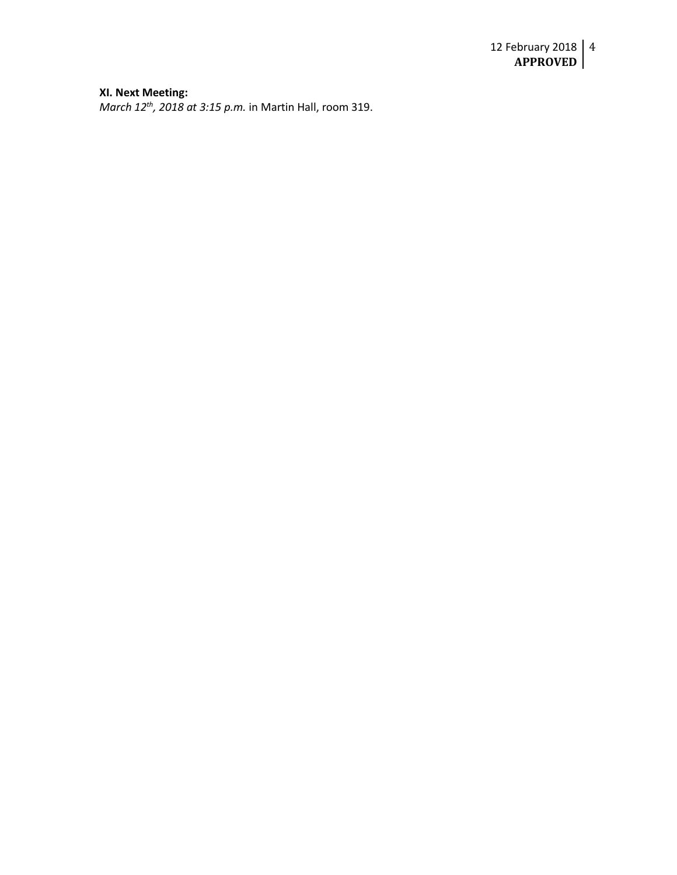#### **XI. Next Meeting:**

*March 12th, 2018 at 3:15 p.m.* in Martin Hall, room 319.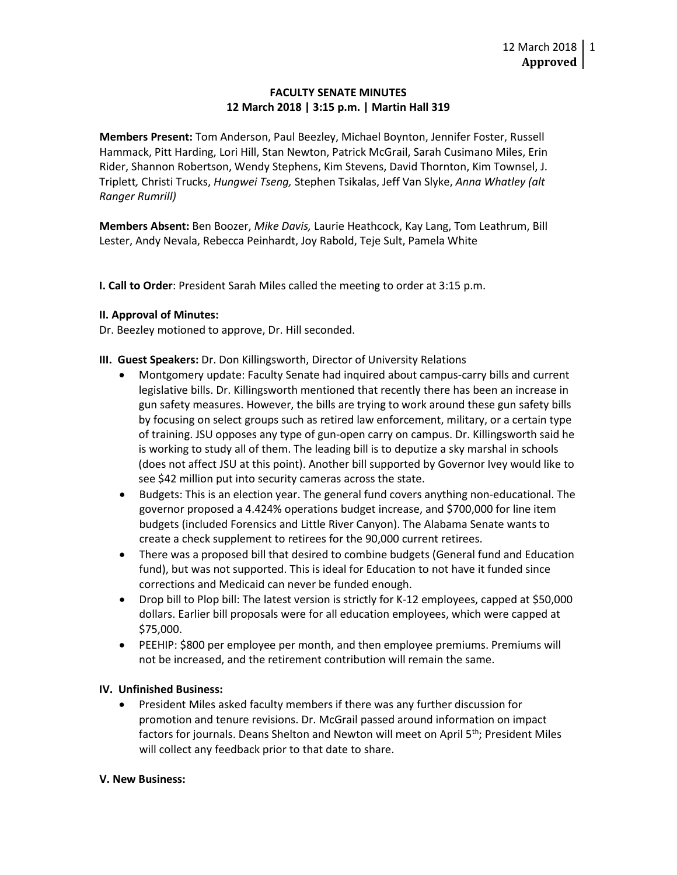## **FACULTY SENATE MINUTES 12 March 2018 | 3:15 p.m. | Martin Hall 319**

**Members Present:** Tom Anderson, Paul Beezley, Michael Boynton, Jennifer Foster, Russell Hammack, Pitt Harding, Lori Hill, Stan Newton, Patrick McGrail, Sarah Cusimano Miles, Erin Rider, Shannon Robertson, Wendy Stephens, Kim Stevens, David Thornton, Kim Townsel, J. Triplett*,* Christi Trucks, *Hungwei Tseng,* Stephen Tsikalas, Jeff Van Slyke, *Anna Whatley (alt Ranger Rumrill)*

**Members Absent:** Ben Boozer, *Mike Davis,* Laurie Heathcock, Kay Lang, Tom Leathrum, Bill Lester, Andy Nevala, Rebecca Peinhardt, Joy Rabold, Teje Sult, Pamela White

**I. Call to Order**: President Sarah Miles called the meeting to order at 3:15 p.m.

### **II. Approval of Minutes:**

Dr. Beezley motioned to approve, Dr. Hill seconded.

**III. Guest Speakers:** Dr. Don Killingsworth, Director of University Relations

- Montgomery update: Faculty Senate had inquired about campus-carry bills and current legislative bills. Dr. Killingsworth mentioned that recently there has been an increase in gun safety measures. However, the bills are trying to work around these gun safety bills by focusing on select groups such as retired law enforcement, military, or a certain type of training. JSU opposes any type of gun-open carry on campus. Dr. Killingsworth said he is working to study all of them. The leading bill is to deputize a sky marshal in schools (does not affect JSU at this point). Another bill supported by Governor Ivey would like to see \$42 million put into security cameras across the state.
- Budgets: This is an election year. The general fund covers anything non-educational. The governor proposed a 4.424% operations budget increase, and \$700,000 for line item budgets (included Forensics and Little River Canyon). The Alabama Senate wants to create a check supplement to retirees for the 90,000 current retirees.
- There was a proposed bill that desired to combine budgets (General fund and Education fund), but was not supported. This is ideal for Education to not have it funded since corrections and Medicaid can never be funded enough.
- Drop bill to Plop bill: The latest version is strictly for K-12 employees, capped at \$50,000 dollars. Earlier bill proposals were for all education employees, which were capped at \$75,000.
- PEEHIP: \$800 per employee per month, and then employee premiums. Premiums will not be increased, and the retirement contribution will remain the same.

# **IV. Unfinished Business:**

• President Miles asked faculty members if there was any further discussion for promotion and tenure revisions. Dr. McGrail passed around information on impact factors for journals. Deans Shelton and Newton will meet on April 5<sup>th</sup>; President Miles will collect any feedback prior to that date to share.

### **V. New Business:**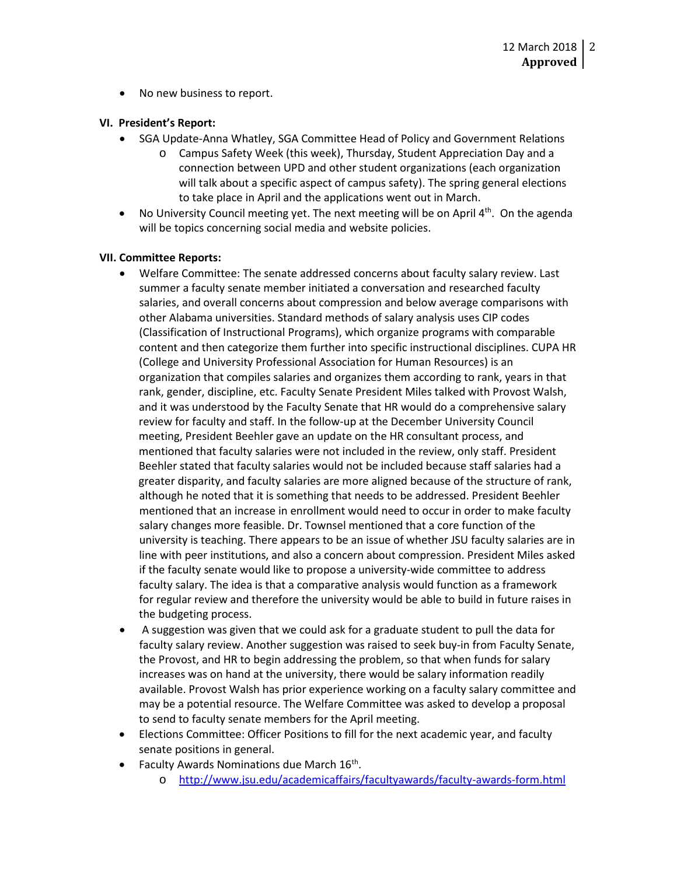• No new business to report.

### **VI. President's Report:**

- SGA Update-Anna Whatley, SGA Committee Head of Policy and Government Relations
	- o Campus Safety Week (this week), Thursday, Student Appreciation Day and a connection between UPD and other student organizations (each organization will talk about a specific aspect of campus safety). The spring general elections to take place in April and the applications went out in March.
- No University Council meeting yet. The next meeting will be on April  $4<sup>th</sup>$ . On the agenda will be topics concerning social media and website policies.

## **VII. Committee Reports:**

- Welfare Committee: The senate addressed concerns about faculty salary review. Last summer a faculty senate member initiated a conversation and researched faculty salaries, and overall concerns about compression and below average comparisons with other Alabama universities. Standard methods of salary analysis uses CIP codes (Classification of Instructional Programs), which organize programs with comparable content and then categorize them further into specific instructional disciplines. CUPA HR (College and University Professional Association for Human Resources) is an organization that compiles salaries and organizes them according to rank, years in that rank, gender, discipline, etc. Faculty Senate President Miles talked with Provost Walsh, and it was understood by the Faculty Senate that HR would do a comprehensive salary review for faculty and staff. In the follow-up at the December University Council meeting, President Beehler gave an update on the HR consultant process, and mentioned that faculty salaries were not included in the review, only staff. President Beehler stated that faculty salaries would not be included because staff salaries had a greater disparity, and faculty salaries are more aligned because of the structure of rank, although he noted that it is something that needs to be addressed. President Beehler mentioned that an increase in enrollment would need to occur in order to make faculty salary changes more feasible. Dr. Townsel mentioned that a core function of the university is teaching. There appears to be an issue of whether JSU faculty salaries are in line with peer institutions, and also a concern about compression. President Miles asked if the faculty senate would like to propose a university-wide committee to address faculty salary. The idea is that a comparative analysis would function as a framework for regular review and therefore the university would be able to build in future raises in the budgeting process.
- A suggestion was given that we could ask for a graduate student to pull the data for faculty salary review. Another suggestion was raised to seek buy-in from Faculty Senate, the Provost, and HR to begin addressing the problem, so that when funds for salary increases was on hand at the university, there would be salary information readily available. Provost Walsh has prior experience working on a faculty salary committee and may be a potential resource. The Welfare Committee was asked to develop a proposal to send to faculty senate members for the April meeting.
- Elections Committee: Officer Positions to fill for the next academic year, and faculty senate positions in general.
- Faculty Awards Nominations due March 16<sup>th</sup>.
	- o <http://www.jsu.edu/academicaffairs/facultyawards/faculty-awards-form.html>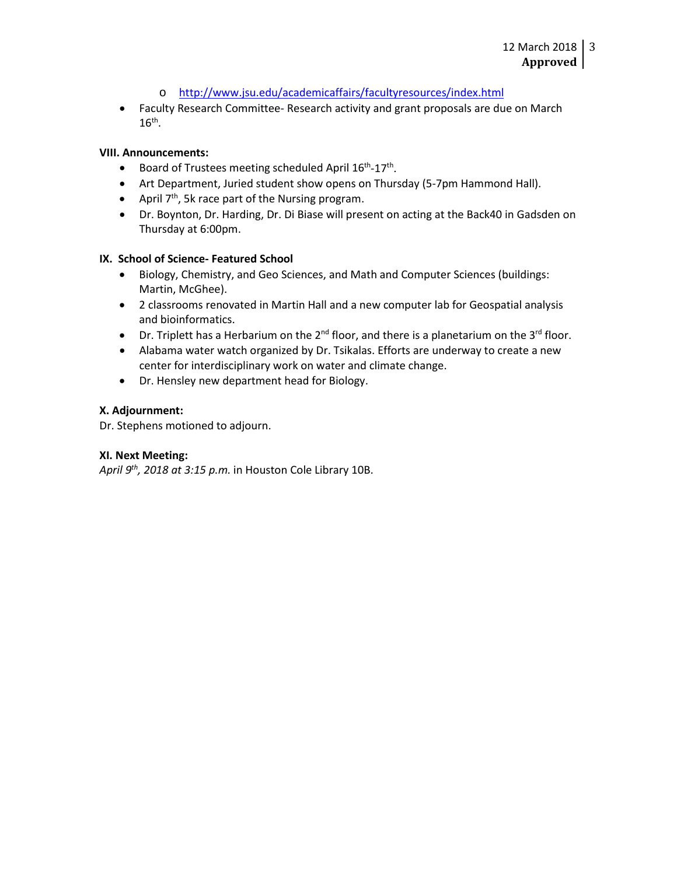- o <http://www.jsu.edu/academicaffairs/facultyresources/index.html>
- Faculty Research Committee- Research activity and grant proposals are due on March  $16<sup>th</sup>$ .

### **VIII. Announcements:**

- Board of Trustees meeting scheduled April 16<sup>th</sup>-17<sup>th</sup>.
- Art Department, Juried student show opens on Thursday (5-7pm Hammond Hall).
- April  $7<sup>th</sup>$ , 5k race part of the Nursing program.
- Dr. Boynton, Dr. Harding, Dr. Di Biase will present on acting at the Back40 in Gadsden on Thursday at 6:00pm.

### **IX. School of Science- Featured School**

- Biology, Chemistry, and Geo Sciences, and Math and Computer Sciences (buildings: Martin, McGhee).
- 2 classrooms renovated in Martin Hall and a new computer lab for Geospatial analysis and bioinformatics.
- Dr. Triplett has a Herbarium on the  $2^{nd}$  floor, and there is a planetarium on the  $3^{rd}$  floor.
- Alabama water watch organized by Dr. Tsikalas. Efforts are underway to create a new center for interdisciplinary work on water and climate change.
- Dr. Hensley new department head for Biology.

#### **X. Adjournment:**

Dr. Stephens motioned to adjourn.

### **XI. Next Meeting:**

*April 9th, 2018 at 3:15 p.m.* in Houston Cole Library 10B.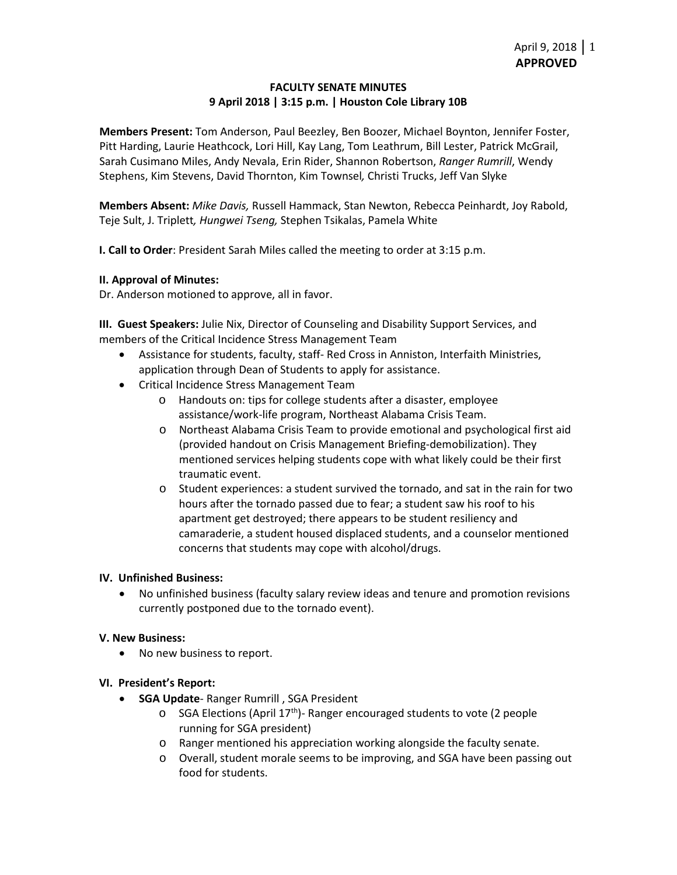## **FACULTY SENATE MINUTES 9 April 2018 | 3:15 p.m. | Houston Cole Library 10B**

**Members Present:** Tom Anderson, Paul Beezley, Ben Boozer, Michael Boynton, Jennifer Foster, Pitt Harding, Laurie Heathcock, Lori Hill, Kay Lang, Tom Leathrum, Bill Lester, Patrick McGrail, Sarah Cusimano Miles, Andy Nevala, Erin Rider, Shannon Robertson, *Ranger Rumrill*, Wendy Stephens, Kim Stevens, David Thornton, Kim Townsel*,* Christi Trucks, Jeff Van Slyke

**Members Absent:** *Mike Davis,* Russell Hammack, Stan Newton, Rebecca Peinhardt, Joy Rabold, Teje Sult, J. Triplett*, Hungwei Tseng,* Stephen Tsikalas, Pamela White

**I. Call to Order**: President Sarah Miles called the meeting to order at 3:15 p.m.

## **II. Approval of Minutes:**

Dr. Anderson motioned to approve, all in favor.

**III. Guest Speakers:** Julie Nix, Director of Counseling and Disability Support Services, and members of the Critical Incidence Stress Management Team

- Assistance for students, faculty, staff- Red Cross in Anniston, Interfaith Ministries, application through Dean of Students to apply for assistance.
- Critical Incidence Stress Management Team
	- o Handouts on: tips for college students after a disaster, employee assistance/work-life program, Northeast Alabama Crisis Team.
	- o Northeast Alabama Crisis Team to provide emotional and psychological first aid (provided handout on Crisis Management Briefing-demobilization). They mentioned services helping students cope with what likely could be their first traumatic event.
	- o Student experiences: a student survived the tornado, and sat in the rain for two hours after the tornado passed due to fear; a student saw his roof to his apartment get destroyed; there appears to be student resiliency and camaraderie, a student housed displaced students, and a counselor mentioned concerns that students may cope with alcohol/drugs.

### **IV. Unfinished Business:**

• No unfinished business (faculty salary review ideas and tenure and promotion revisions currently postponed due to the tornado event).

### **V. New Business:**

• No new business to report.

### **VI. President's Report:**

- **SGA Update** Ranger Rumrill , SGA President
	- $\circ$  SGA Elections (April 17<sup>th</sup>)- Ranger encouraged students to vote (2 people running for SGA president)
	- o Ranger mentioned his appreciation working alongside the faculty senate.
	- o Overall, student morale seems to be improving, and SGA have been passing out food for students.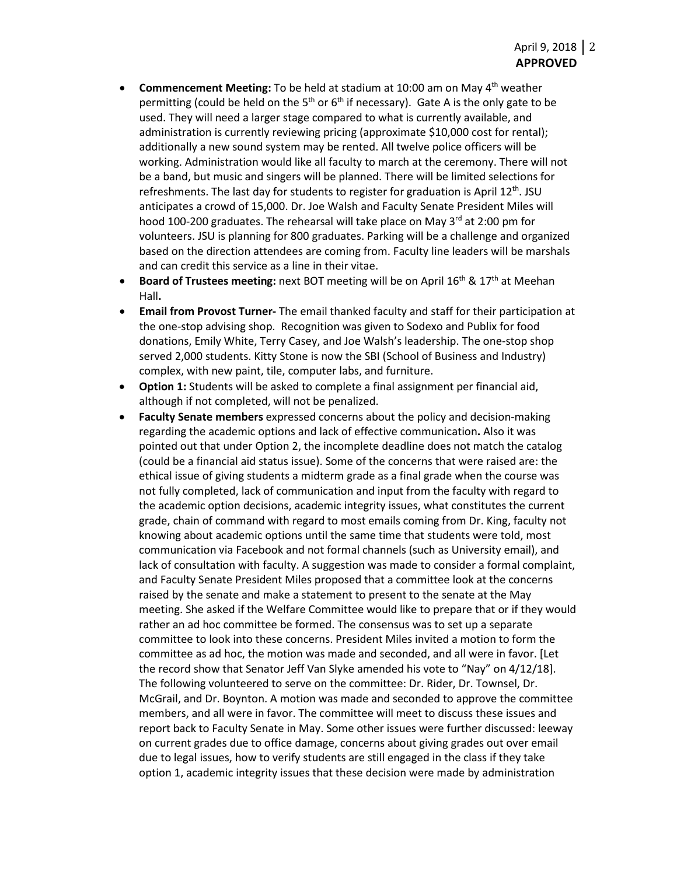- **Commencement Meeting:** To be held at stadium at 10:00 am on May 4th weather permitting (could be held on the 5<sup>th</sup> or 6<sup>th</sup> if necessary). Gate A is the only gate to be used. They will need a larger stage compared to what is currently available, and administration is currently reviewing pricing (approximate \$10,000 cost for rental); additionally a new sound system may be rented. All twelve police officers will be working. Administration would like all faculty to march at the ceremony. There will not be a band, but music and singers will be planned. There will be limited selections for refreshments. The last day for students to register for graduation is April  $12<sup>th</sup>$ . JSU anticipates a crowd of 15,000. Dr. Joe Walsh and Faculty Senate President Miles will hood 100-200 graduates. The rehearsal will take place on May  $3<sup>rd</sup>$  at 2:00 pm for volunteers. JSU is planning for 800 graduates. Parking will be a challenge and organized based on the direction attendees are coming from. Faculty line leaders will be marshals and can credit this service as a line in their vitae.
- **Board of Trustees meeting:** next BOT meeting will be on April 16<sup>th</sup> & 17<sup>th</sup> at Meehan Hall**.**
- **Email from Provost Turner-** The email thanked faculty and staff for their participation at the one-stop advising shop. Recognition was given to Sodexo and Publix for food donations, Emily White, Terry Casey, and Joe Walsh's leadership. The one-stop shop served 2,000 students. Kitty Stone is now the SBI (School of Business and Industry) complex, with new paint, tile, computer labs, and furniture.
- **Option 1:** Students will be asked to complete a final assignment per financial aid, although if not completed, will not be penalized.
- **Faculty Senate members** expressed concerns about the policy and decision-making regarding the academic options and lack of effective communication**.** Also it was pointed out that under Option 2, the incomplete deadline does not match the catalog (could be a financial aid status issue). Some of the concerns that were raised are: the ethical issue of giving students a midterm grade as a final grade when the course was not fully completed, lack of communication and input from the faculty with regard to the academic option decisions, academic integrity issues, what constitutes the current grade, chain of command with regard to most emails coming from Dr. King, faculty not knowing about academic options until the same time that students were told, most communication via Facebook and not formal channels (such as University email), and lack of consultation with faculty. A suggestion was made to consider a formal complaint, and Faculty Senate President Miles proposed that a committee look at the concerns raised by the senate and make a statement to present to the senate at the May meeting. She asked if the Welfare Committee would like to prepare that or if they would rather an ad hoc committee be formed. The consensus was to set up a separate committee to look into these concerns. President Miles invited a motion to form the committee as ad hoc, the motion was made and seconded, and all were in favor. [Let the record show that Senator Jeff Van Slyke amended his vote to "Nay" on 4/12/18]. The following volunteered to serve on the committee: Dr. Rider, Dr. Townsel, Dr. McGrail, and Dr. Boynton. A motion was made and seconded to approve the committee members, and all were in favor. The committee will meet to discuss these issues and report back to Faculty Senate in May. Some other issues were further discussed: leeway on current grades due to office damage, concerns about giving grades out over email due to legal issues, how to verify students are still engaged in the class if they take option 1, academic integrity issues that these decision were made by administration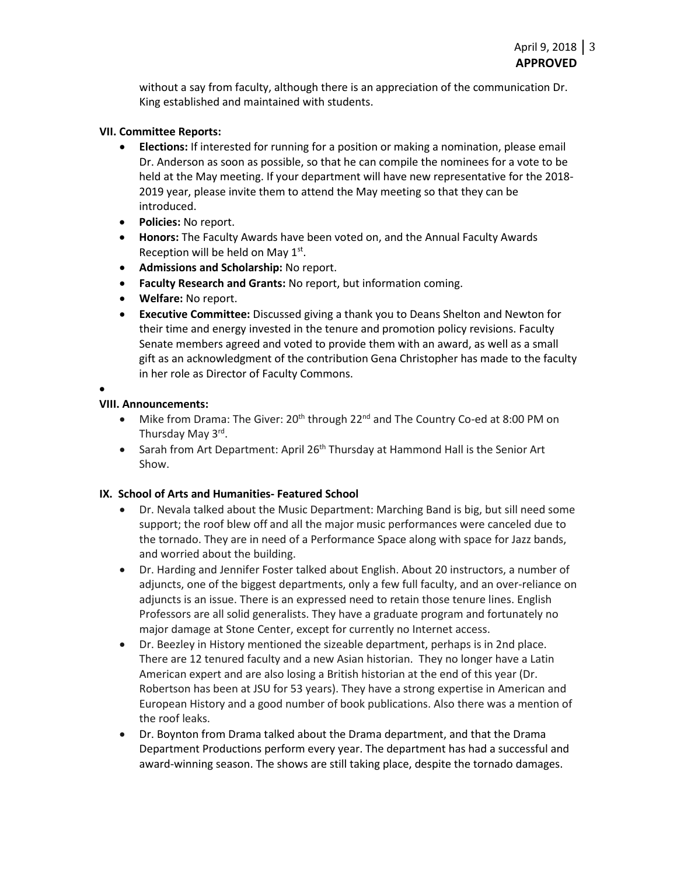without a say from faculty, although there is an appreciation of the communication Dr. King established and maintained with students.

### **VII. Committee Reports:**

- **Elections:** If interested for running for a position or making a nomination, please email Dr. Anderson as soon as possible, so that he can compile the nominees for a vote to be held at the May meeting. If your department will have new representative for the 2018- 2019 year, please invite them to attend the May meeting so that they can be introduced.
- **Policies:** No report.
- **Honors:** The Faculty Awards have been voted on, and the Annual Faculty Awards Reception will be held on May 1st.
- **Admissions and Scholarship:** No report.
- **Faculty Research and Grants:** No report, but information coming.
- **Welfare:** No report.
- **Executive Committee:** Discussed giving a thank you to Deans Shelton and Newton for their time and energy invested in the tenure and promotion policy revisions. Faculty Senate members agreed and voted to provide them with an award, as well as a small gift as an acknowledgment of the contribution Gena Christopher has made to the faculty in her role as Director of Faculty Commons.

•

## **VIII. Announcements:**

- Mike from Drama: The Giver: 20<sup>th</sup> through 22<sup>nd</sup> and The Country Co-ed at 8:00 PM on Thursday May 3rd.
- Sarah from Art Department: April 26<sup>th</sup> Thursday at Hammond Hall is the Senior Art Show.

# **IX. School of Arts and Humanities- Featured School**

- Dr. Nevala talked about the Music Department: Marching Band is big, but sill need some support; the roof blew off and all the major music performances were canceled due to the tornado. They are in need of a Performance Space along with space for Jazz bands, and worried about the building.
- Dr. Harding and Jennifer Foster talked about English. About 20 instructors, a number of adjuncts, one of the biggest departments, only a few full faculty, and an over-reliance on adjuncts is an issue. There is an expressed need to retain those tenure lines. English Professors are all solid generalists. They have a graduate program and fortunately no major damage at Stone Center, except for currently no Internet access.
- Dr. Beezley in History mentioned the sizeable department, perhaps is in 2nd place. There are 12 tenured faculty and a new Asian historian. They no longer have a Latin American expert and are also losing a British historian at the end of this year (Dr. Robertson has been at JSU for 53 years). They have a strong expertise in American and European History and a good number of book publications. Also there was a mention of the roof leaks.
- Dr. Boynton from Drama talked about the Drama department, and that the Drama Department Productions perform every year. The department has had a successful and award-winning season. The shows are still taking place, despite the tornado damages.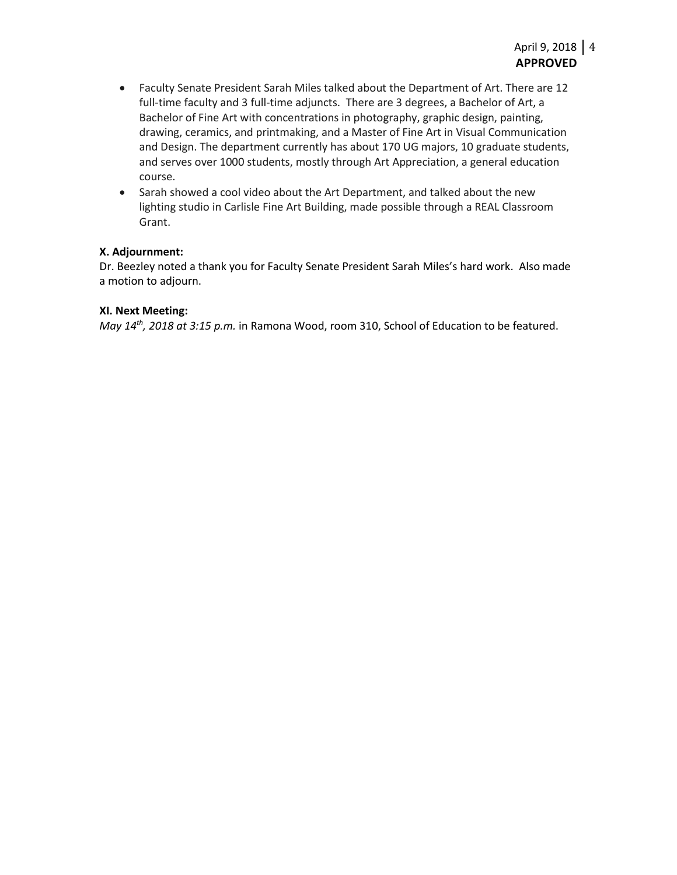- Faculty Senate President Sarah Miles talked about the Department of Art. There are 12 full-time faculty and 3 full-time adjuncts. There are 3 degrees, a Bachelor of Art, a Bachelor of Fine Art with concentrations in photography, graphic design, painting, drawing, ceramics, and printmaking, and a Master of Fine Art in Visual Communication and Design. The department currently has about 170 UG majors, 10 graduate students, and serves over 1000 students, mostly through Art Appreciation, a general education course.
- Sarah showed a cool video about the Art Department, and talked about the new lighting studio in Carlisle Fine Art Building, made possible through a REAL Classroom Grant.

## **X. Adjournment:**

Dr. Beezley noted a thank you for Faculty Senate President Sarah Miles's hard work. Also made a motion to adjourn.

#### **XI. Next Meeting:**

*May 14th, 2018 at 3:15 p.m.* in Ramona Wood, room 310, School of Education to be featured.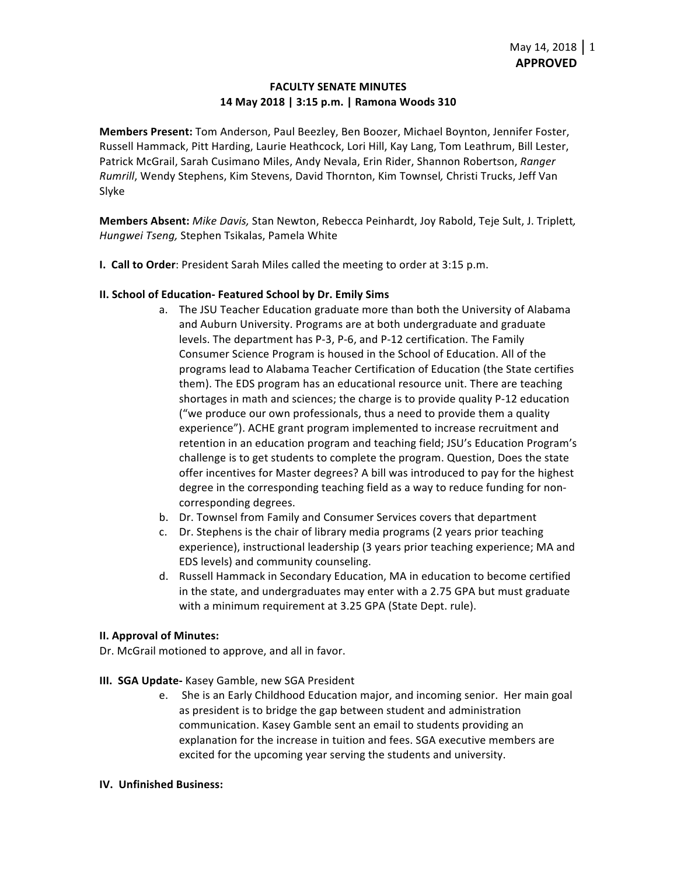## **FACULTY SENATE MINUTES 14 May 2018 | 3:15 p.m. | Ramona Woods 310**

**Members Present:** Tom Anderson, Paul Beezley, Ben Boozer, Michael Boynton, Jennifer Foster, Russell Hammack, Pitt Harding, Laurie Heathcock, Lori Hill, Kay Lang, Tom Leathrum, Bill Lester, Patrick McGrail, Sarah Cusimano Miles, Andy Nevala, Erin Rider, Shannon Robertson, *Ranger Rumrill*, Wendy Stephens, Kim Stevens, David Thornton, Kim Townsel*,* Christi Trucks, Jeff Van Slyke

**Members Absent:** *Mike Davis,* Stan Newton, Rebecca Peinhardt, Joy Rabold, Teje Sult, J. Triplett*, Hungwei Tseng,* Stephen Tsikalas, Pamela White

**I. Call to Order**: President Sarah Miles called the meeting to order at 3:15 p.m.

### **II. School of Education- Featured School by Dr. Emily Sims**

- a. The JSU Teacher Education graduate more than both the University of Alabama and Auburn University. Programs are at both undergraduate and graduate levels. The department has P-3, P-6, and P-12 certification. The Family Consumer Science Program is housed in the School of Education. All of the programs lead to Alabama Teacher Certification of Education (the State certifies them). The EDS program has an educational resource unit. There are teaching shortages in math and sciences; the charge is to provide quality P-12 education ("we produce our own professionals, thus a need to provide them a quality experience"). ACHE grant program implemented to increase recruitment and retention in an education program and teaching field; JSU's Education Program's challenge is to get students to complete the program. Question, Does the state offer incentives for Master degrees? A bill was introduced to pay for the highest degree in the corresponding teaching field as a way to reduce funding for noncorresponding degrees.
- b. Dr. Townsel from Family and Consumer Services covers that department
- c. Dr. Stephens is the chair of library media programs (2 years prior teaching experience), instructional leadership (3 years prior teaching experience; MA and EDS levels) and community counseling.
- d. Russell Hammack in Secondary Education, MA in education to become certified in the state, and undergraduates may enter with a 2.75 GPA but must graduate with a minimum requirement at 3.25 GPA (State Dept. rule).

### **II. Approval of Minutes:**

Dr. McGrail motioned to approve, and all in favor. 

- **III. SGA Update-** Kasey Gamble, new SGA President
	- e. She is an Early Childhood Education major, and incoming senior. Her main goal as president is to bridge the gap between student and administration communication. Kasey Gamble sent an email to students providing an explanation for the increase in tuition and fees. SGA executive members are excited for the upcoming year serving the students and university.

#### **IV. Unfinished Business:**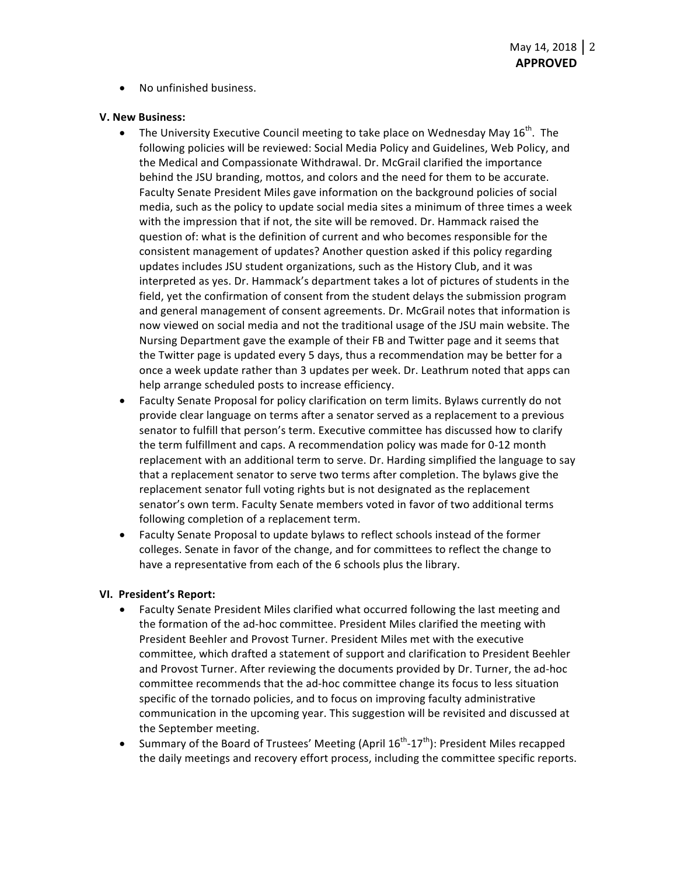• No unfinished business.

#### **V. New Business:**

- The University Executive Council meeting to take place on Wednesday May  $16^{th}$ . The following policies will be reviewed: Social Media Policy and Guidelines, Web Policy, and the Medical and Compassionate Withdrawal. Dr. McGrail clarified the importance behind the JSU branding, mottos, and colors and the need for them to be accurate. Faculty Senate President Miles gave information on the background policies of social media, such as the policy to update social media sites a minimum of three times a week with the impression that if not, the site will be removed. Dr. Hammack raised the question of: what is the definition of current and who becomes responsible for the consistent management of updates? Another question asked if this policy regarding updates includes JSU student organizations, such as the History Club, and it was interpreted as yes. Dr. Hammack's department takes a lot of pictures of students in the field, yet the confirmation of consent from the student delays the submission program and general management of consent agreements. Dr. McGrail notes that information is now viewed on social media and not the traditional usage of the JSU main website. The Nursing Department gave the example of their FB and Twitter page and it seems that the Twitter page is updated every 5 days, thus a recommendation may be better for a once a week update rather than 3 updates per week. Dr. Leathrum noted that apps can help arrange scheduled posts to increase efficiency.
- Faculty Senate Proposal for policy clarification on term limits. Bylaws currently do not provide clear language on terms after a senator served as a replacement to a previous senator to fulfill that person's term. Executive committee has discussed how to clarify the term fulfillment and caps. A recommendation policy was made for 0-12 month replacement with an additional term to serve. Dr. Harding simplified the language to say that a replacement senator to serve two terms after completion. The bylaws give the replacement senator full voting rights but is not designated as the replacement senator's own term. Faculty Senate members voted in favor of two additional terms following completion of a replacement term.
- Faculty Senate Proposal to update bylaws to reflect schools instead of the former colleges. Senate in favor of the change, and for committees to reflect the change to have a representative from each of the 6 schools plus the library.

### **VI. President's Report:**

- Faculty Senate President Miles clarified what occurred following the last meeting and the formation of the ad-hoc committee. President Miles clarified the meeting with President Beehler and Provost Turner. President Miles met with the executive committee, which drafted a statement of support and clarification to President Beehler and Provost Turner. After reviewing the documents provided by Dr. Turner, the ad-hoc committee recommends that the ad-hoc committee change its focus to less situation specific of the tornado policies, and to focus on improving faculty administrative communication in the upcoming year. This suggestion will be revisited and discussed at the September meeting.
- Summary of the Board of Trustees' Meeting (April  $16^{th}$ - $17^{th}$ ): President Miles recapped the daily meetings and recovery effort process, including the committee specific reports.